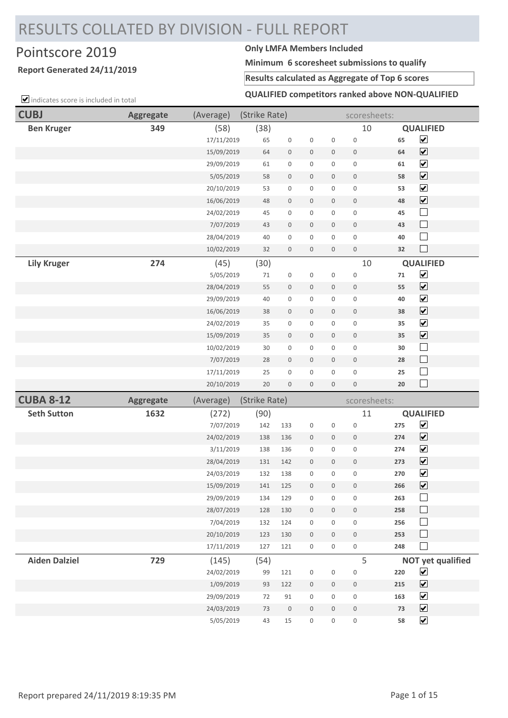# RESULTS COLLATED BY DIVISION - FULL REPORT

## Pointscore 2019 **Only LMFA Members Included**

### **Report Generated 24/11/2019**

**Minimum 6 scoresheet submissions to qualify**

### **Results calculated as Aggregate of Top 6 scores**

 $\Box$  indicates score is included in total

### **QUALIFIED competitors ranked above NON-QUALIFIED**

| <b>CUBJ</b>          | <b>Aggregate</b> | (Average)               | (Strike Rate) |                     |                                    |                                            | scoresheets:               |            |                                              |
|----------------------|------------------|-------------------------|---------------|---------------------|------------------------------------|--------------------------------------------|----------------------------|------------|----------------------------------------------|
| <b>Ben Kruger</b>    | 349              | (58)                    | (38)          |                     |                                    |                                            | 10                         |            | <b>QUALIFIED</b>                             |
|                      |                  | 17/11/2019              | 65            | $\mathsf 0$         | $\mathsf 0$                        | $\mathsf 0$                                | $\mathbf 0$                | 65         | $\blacktriangledown$                         |
|                      |                  | 15/09/2019              | 64            | $\mathsf{O}\xspace$ | 0                                  | $\mathsf{O}\xspace$                        | 0                          | 64         | $\blacktriangledown$                         |
|                      |                  | 29/09/2019              | 61            | $\mathsf{O}\xspace$ | $\mathsf{O}\xspace$                | 0                                          | $\mathsf{O}\xspace$        | 61         | $\overline{\mathbf{v}}$                      |
|                      |                  | 5/05/2019               | 58            | $\mathsf{O}\xspace$ | $\mathsf{O}\xspace$                | $\mathsf{O}\xspace$                        | $\mathsf 0$                | 58         | $\blacktriangledown$                         |
|                      |                  | 20/10/2019              | 53            | $\mathsf{O}\xspace$ | $\mathsf{O}\xspace$                | $\mathsf{O}\xspace$                        | $\mathsf{O}\xspace$        | 53         | $\blacktriangledown$                         |
|                      |                  | 16/06/2019              | 48            | $\mathsf{O}\xspace$ | $\mathsf{O}\xspace$                | $\mathbb O$                                | $\mathsf{O}\xspace$        | 48         | $\blacktriangledown$                         |
|                      |                  | 24/02/2019              | 45            | $\mathsf{O}\xspace$ | 0                                  | $\mathsf{O}$                               | $\mathsf{O}\xspace$        | 45         | $\Box$                                       |
|                      |                  | 7/07/2019               | 43            | $\mathsf{O}\xspace$ | $\mathsf{O}\xspace$                | $\mathsf{O}\xspace$                        | $\mathsf{O}\xspace$        | 43         | $\Box$                                       |
|                      |                  | 28/04/2019              | 40            | $\mathsf{O}\xspace$ | $\mathsf{O}\xspace$                | $\mathsf{O}\xspace$                        | $\mathbf 0$                | 40         | $\Box$                                       |
|                      |                  | 10/02/2019              | 32            | $\mathsf{O}\xspace$ | $\mathsf{O}\xspace$                | $\mathsf{O}\xspace$                        | $\mathsf{O}\xspace$        | 32         | $\overline{\phantom{a}}$                     |
| <b>Lily Kruger</b>   | 274              | (45)                    | (30)          |                     |                                    |                                            | 10                         |            | <b>QUALIFIED</b>                             |
|                      |                  | 5/05/2019               | 71            | $\mathsf{O}\xspace$ | $\mathsf{O}\xspace$                | $\mathsf 0$                                | $\mathbf 0$                | 71         | $\blacktriangledown$                         |
|                      |                  | 28/04/2019              | 55            | $\mathbb O$         | $\mathsf{O}\xspace$                | $\mathbb O$                                | $\mathsf{O}\xspace$        | 55         | $\blacktriangledown$                         |
|                      |                  | 29/09/2019              | 40            | $\mathsf{O}\xspace$ | $\mathsf{O}\xspace$                | 0                                          | $\mathsf{O}\xspace$        | 40         | $\blacktriangledown$                         |
|                      |                  | 16/06/2019              | 38            | $\mathsf{O}\xspace$ | $\boldsymbol{0}$                   | $\mathsf{O}\xspace$                        | $\boldsymbol{0}$           | 38         | $\blacktriangledown$                         |
|                      |                  | 24/02/2019              | 35            | $\mathsf{O}\xspace$ | $\mathsf{O}\xspace$                | $\mathsf 0$                                | $\mathsf 0$                | 35         | $\blacktriangledown$                         |
|                      |                  | 15/09/2019              | 35            | $\mathsf{O}\xspace$ | $\mathsf{O}\xspace$                | $\mathsf{O}\xspace$                        | $\mathsf{O}\xspace$        | 35         | $\overline{\mathbf{v}}$                      |
|                      |                  | 10/02/2019              | $30\,$        | $\mathsf{O}\xspace$ | $\mathsf{O}\xspace$                | 0                                          | $\mathsf{O}\xspace$        | 30         | $\Box$                                       |
|                      |                  | 7/07/2019               | 28            | $\mathsf{O}\xspace$ | $\boldsymbol{0}$                   | $\mathsf{O}\xspace$                        | $\mathsf{O}\xspace$        | 28         | $\Box$                                       |
|                      |                  | 17/11/2019              | 25            | $\mathsf{O}\xspace$ | 0                                  | 0                                          | 0                          | 25         | $\Box$<br>$\Box$                             |
|                      |                  | 20/10/2019              | 20            | $\mathsf{O}\xspace$ | $\mathsf{O}\xspace$                | $\mathsf{O}\xspace$                        | $\mathsf{O}\xspace$        | 20         |                                              |
| <b>CUBA 8-12</b>     | Aggregate        | (Average)               | (Strike Rate) |                     |                                    |                                            | scoresheets:               |            |                                              |
| <b>Seth Sutton</b>   | 1632             | (272)                   | (90)          |                     |                                    |                                            | 11                         |            | <b>QUALIFIED</b>                             |
|                      |                  | 7/07/2019               | 142           | 133                 | $\mathsf 0$                        | $\mathsf{O}\xspace$                        | $\mathbf 0$                | 275        | $\blacktriangledown$<br>$\blacktriangledown$ |
|                      |                  | 24/02/2019<br>3/11/2019 | 138<br>138    | 136<br>136          | $\mathbf 0$<br>$\mathsf{O}\xspace$ | $\mathsf{O}\xspace$<br>$\mathsf{O}\xspace$ | $\mathbb O$<br>$\mathbf 0$ | 274<br>274 | $\blacktriangledown$                         |
|                      |                  | 28/04/2019              | 131           | 142                 | $\boldsymbol{0}$                   | $\mathbf 0$                                | $\mathsf{O}\xspace$        | 273        | $\blacktriangledown$                         |
|                      |                  | 24/03/2019              | 132           | 138                 | $\mathsf 0$                        | $\mathsf{O}\xspace$                        | $\mathsf 0$                | 270        | $\blacktriangledown$                         |
|                      |                  | 15/09/2019              | 141           | 125                 | 0                                  | $\mathbf 0$                                | 0                          | 266        | $\blacktriangledown$                         |
|                      |                  | 29/09/2019              | 134           | 129                 | 0                                  | 0                                          | $\mathsf 0$                | 263        | $\Box$                                       |
|                      |                  | 28/07/2019              | 128           | 130                 | $\boldsymbol{0}$                   | $\mathsf{O}\xspace$                        | $\mathsf{O}$               | 258        | $\sqcup$                                     |
|                      |                  | 7/04/2019               | 132           | 124                 | $\mathsf{O}\xspace$                | $\mathsf 0$                                | $\mathsf{O}\xspace$        | 256        | $\sqcup$                                     |
|                      |                  | 20/10/2019              | 123           | 130                 | $\boldsymbol{0}$                   | $\mathsf{O}\xspace$                        | $\,0\,$                    | 253        | $\Box$                                       |
|                      |                  | 17/11/2019              | 127           | 121                 | $\mathsf{O}\xspace$                | $\mathsf{O}\xspace$                        | $\mathsf{O}\xspace$        | 248        | $\blacksquare$                               |
| <b>Aiden Dalziel</b> | 729              | (145)                   | (54)          |                     |                                    |                                            | 5                          |            | <b>NOT yet qualified</b>                     |
|                      |                  | 24/02/2019              | 99            | 121                 | 0                                  | 0                                          | $\mathsf 0$                | 220        | $\blacktriangledown$                         |
|                      |                  | 1/09/2019               | 93            | 122                 | $\mathsf{O}\xspace$                | $\mathsf{O}\xspace$                        | $\mathsf{O}\xspace$        | 215        | $\blacktriangledown$                         |
|                      |                  | 29/09/2019              | 72            | 91                  | $\mathsf{O}\xspace$                | 0                                          | $\mathsf{O}\xspace$        | 163        | $\blacktriangledown$                         |
|                      |                  | 24/03/2019              | 73            | $\,0\,$             | $\mathsf{O}\xspace$                | $\mathsf{O}\xspace$                        | $\mathsf{O}\xspace$        | 73         | $\blacktriangledown$                         |
|                      |                  | 5/05/2019               | 43            | 15                  | 0                                  | $\mathsf 0$                                | $\mathsf{O}\xspace$        | 58         | $\blacktriangledown$                         |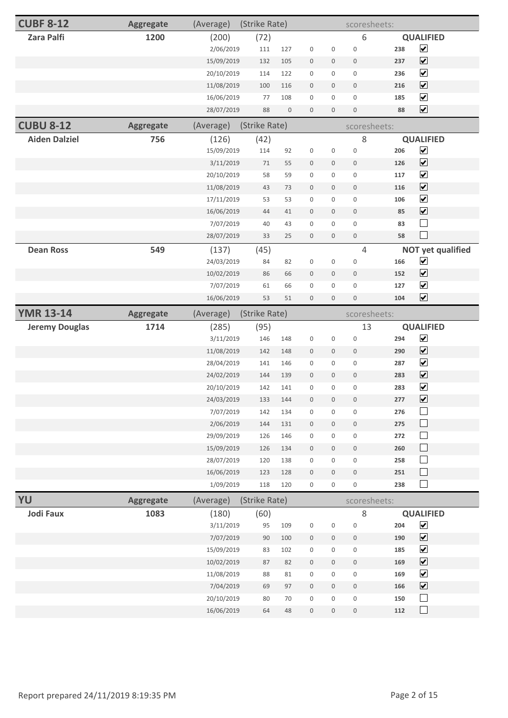| <b>CUBF 8-12</b>      | <b>Aggregate</b> | (Average)                | (Strike Rate) |                  |                     |                     | scoresheets:        |     |                                |
|-----------------------|------------------|--------------------------|---------------|------------------|---------------------|---------------------|---------------------|-----|--------------------------------|
| <b>Zara Palfi</b>     | 1200             | (200)                    | (72)          |                  |                     |                     | 6                   |     | <b>QUALIFIED</b>               |
|                       |                  | 2/06/2019                | 111           | 127              | $\boldsymbol{0}$    | $\boldsymbol{0}$    | $\mathbf 0$         | 238 | $\blacktriangledown$           |
|                       |                  | 15/09/2019               | 132           | 105              | $\mathbf 0$         | $\mathsf{O}\xspace$ | $\mathbf 0$         | 237 | $\blacktriangledown$           |
|                       |                  | 20/10/2019               | 114           | 122              | $\mathbf 0$         | $\mathsf{O}\xspace$ | $\mathsf 0$         | 236 | $\blacktriangledown$           |
|                       |                  | 11/08/2019               | 100           | 116              | $\mathbf 0$         | $\mathbf 0$         | $\mathbf 0$         | 216 | $\blacktriangledown$           |
|                       |                  | 16/06/2019               | 77            | 108              | $\mathbf 0$         | $\mathbf 0$         | $\mathbf 0$         | 185 | $\overline{\mathbf{v}}$        |
|                       |                  | 28/07/2019               | 88            | $\boldsymbol{0}$ | $\boldsymbol{0}$    | $\mathbf 0$         | $\boldsymbol{0}$    | 88  | $\blacktriangledown$           |
| <b>CUBU 8-12</b>      | <b>Aggregate</b> | (Average)                | (Strike Rate) |                  |                     |                     | scoresheets:        |     |                                |
| <b>Aiden Dalziel</b>  | 756              | (126)                    | (42)          |                  |                     |                     | $\,8\,$             |     | <b>QUALIFIED</b>               |
|                       |                  | 15/09/2019               | 114           | 92               | $\mathbf 0$         | $\mathbf 0$         | $\mathbf 0$         | 206 | $\blacktriangledown$           |
|                       |                  | 3/11/2019                | 71            | 55               | $\mathbf 0$         | $\mathbf 0$         | $\mathbf 0$         | 126 | $\blacktriangledown$           |
|                       |                  | 20/10/2019               | 58            | 59               | $\mathbf 0$         | $\mathsf 0$         | $\mathbf 0$         | 117 | $\blacktriangledown$           |
|                       |                  | 11/08/2019               | 43            | 73               | $\boldsymbol{0}$    | $\mathsf{O}\xspace$ | $\mathbf 0$         | 116 | $\blacktriangledown$           |
|                       |                  | 17/11/2019               | 53            | 53               | $\mathbf 0$         | $\mathbf 0$         | $\mathbf 0$         | 106 | $\blacktriangledown$           |
|                       |                  | 16/06/2019               | 44            | 41               | $\mathbf 0$         | $\mathbb O$         | $\mathbf 0$         | 85  | $\overline{\mathbf{v}}$        |
|                       |                  | 7/07/2019                | 40            | 43               | $\mathbf 0$         | $\mathsf{O}\xspace$ | $\mathsf 0$         | 83  | $\Box$                         |
|                       |                  | 28/07/2019               | 33            | 25               | $\mathbf 0$         | $\mathbf 0$         | $\mathbf 0$         | 58  | $\Box$                         |
| <b>Dean Ross</b>      | 549              | (137)                    | (45)          |                  |                     |                     | 4                   |     | <b>NOT yet qualified</b>       |
|                       |                  | 24/03/2019               | 84            | 82               | $\mathbf 0$         | $\mathbf 0$         | $\mathbf 0$         | 166 | $\blacktriangledown$           |
|                       |                  | 10/02/2019               | 86            | 66               | $\boldsymbol{0}$    | $\boldsymbol{0}$    | $\mathbf 0$         | 152 | $\blacktriangledown$           |
|                       |                  | 7/07/2019                | 61            | 66               | $\mathbf 0$         | $\mathsf{O}\xspace$ | $\mathbf 0$         | 127 | $\blacktriangledown$           |
|                       |                  | 16/06/2019               | 53            | 51               | $\boldsymbol{0}$    | $\mathbf 0$         | $\mathbf 0$         | 104 | $\blacktriangledown$           |
| <b>YMR 13-14</b>      | <b>Aggregate</b> | (Average)                | (Strike Rate) |                  |                     |                     | scoresheets:        |     |                                |
| <b>Jeremy Douglas</b> | 1714             | (285)                    | (95)          |                  |                     |                     | 13                  |     | <b>QUALIFIED</b>               |
|                       |                  | 3/11/2019                | 146           | 148              | $\mathbf 0$         | $\mathbf 0$         | $\mathbf 0$         | 294 | $\blacktriangledown$           |
|                       |                  | 11/08/2019               | 142           | 148              | $\mathbf 0$         | $\mathsf{O}\xspace$ | $\mathbf 0$         | 290 | $\blacktriangledown$           |
|                       |                  | 28/04/2019               | 141           | 146              | $\mathbf 0$         | $\mathbf 0$         | $\mathbf 0$         | 287 | $\blacktriangledown$           |
|                       |                  |                          |               |                  |                     | $\mathsf{O}\xspace$ | $\mathbf 0$         |     |                                |
|                       |                  |                          | 144           | 139              | $\boldsymbol{0}$    |                     |                     | 283 | $\blacktriangledown$           |
|                       |                  | 24/02/2019<br>20/10/2019 | 142           | 141              | $\boldsymbol{0}$    | $\mathbf 0$         | $\mathbf 0$         | 283 | $\blacktriangledown$           |
|                       |                  | 24/03/2019               | 133           | 144              | $\mathsf{O}$        | $\mathsf{O}\xspace$ | $\mathsf{O}\xspace$ | 277 |                                |
|                       |                  | 7/07/2019                | 142           | 134              | $\boldsymbol{0}$    | $\mathbf 0$         | $\mathsf 0$         | 276 | $\blacktriangledown$<br>$\Box$ |
|                       |                  | 2/06/2019                | 144           | 131              | $\mathsf{O}\xspace$ | $\mathsf{O}\xspace$ | $\mathbf 0$         | 275 | $\Box$                         |
|                       |                  | 29/09/2019               | 126           | 146              | $\mathbf 0$         | $\mathsf{O}$        | $\mathbf 0$         | 272 | $\Box$                         |
|                       |                  | 15/09/2019               | 126           | 134              | $\mathsf 0$         | $\mathsf{O}\xspace$ | $\mathsf 0$         | 260 | $\Box$                         |
|                       |                  | 28/07/2019               | 120           | 138              | $\mathsf 0$         | $\mathbf 0$         | $\mathbf 0$         | 258 | $\Box$                         |
|                       |                  | 16/06/2019               | 123           | 128              | $\mathsf{O}\xspace$ | $\mathsf{O}\xspace$ | $\mathsf 0$         | 251 | $\Box$                         |
|                       |                  | 1/09/2019                | 118           | 120              | $\mathsf 0$         | 0                   | $\mathsf{O}\xspace$ | 238 | $\Box$                         |
| YU                    | Aggregate        | (Average)                | (Strike Rate) |                  |                     |                     | scoresheets:        |     |                                |
| <b>Jodi Faux</b>      | 1083             | (180)                    | (60)          |                  |                     |                     | 8                   |     | <b>QUALIFIED</b>               |
|                       |                  | 3/11/2019                | 95            | 109              | $\mathsf 0$         | $\mathbf 0$         | $\mathbf 0$         | 204 | $\blacktriangledown$           |
|                       |                  | 7/07/2019                | $90\,$        | 100              | $\mathsf{O}\xspace$ | $\mathsf{O}\xspace$ | $\mathsf{O}\xspace$ | 190 | $\blacktriangledown$           |
|                       |                  | 15/09/2019               | 83            | 102              | $\mathsf 0$         | $\mathsf{O}\xspace$ | $\mathbf 0$         | 185 | $\blacktriangledown$           |
|                       |                  | 10/02/2019               | 87            | 82               | $\mathsf{O}\xspace$ | $\mathsf{O}\xspace$ | $\mathbf 0$         | 169 | $\blacktriangledown$           |
|                       |                  | 11/08/2019               | 88            | 81               | $\mathsf{O}\xspace$ | $\mathsf{O}\xspace$ | $\mathsf 0$         | 169 | $\blacktriangledown$           |
|                       |                  | 7/04/2019                | 69            | 97               | $\mathsf{O}\xspace$ | $\mathbb O$         | $\mathsf{O}\xspace$ | 166 | $\blacktriangledown$           |
|                       |                  | 20/10/2019               | 80            | 70               | $\mathsf 0$         | $\mathbf 0$         | $\mathbf 0$         | 150 | $\Box$<br>$\Box$               |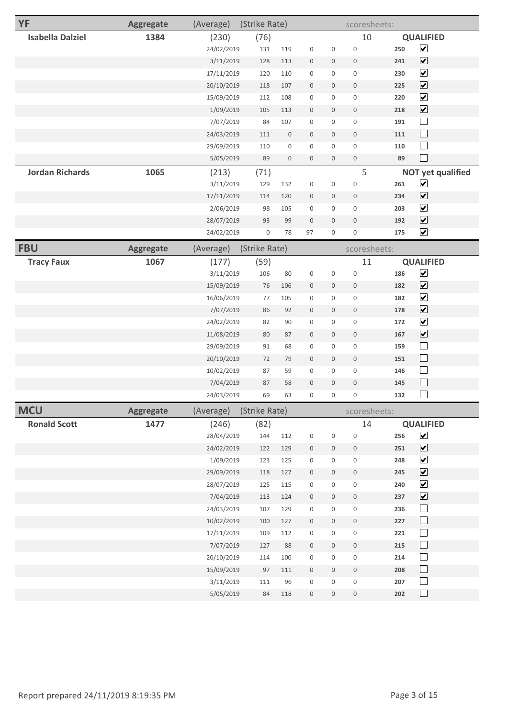| <b>YF</b>               | <b>Aggregate</b> | (Average)  | (Strike Rate)       |                     |                     |                     | scoresheets:        |     |                              |
|-------------------------|------------------|------------|---------------------|---------------------|---------------------|---------------------|---------------------|-----|------------------------------|
| <b>Isabella Dalziel</b> | 1384             | (230)      | (76)                |                     |                     |                     | 10                  |     | <b>QUALIFIED</b>             |
|                         |                  | 24/02/2019 | 131                 | 119                 | $\mathbf 0$         | $\mathsf 0$         | $\mathbf 0$         | 250 | $\blacktriangledown$         |
|                         |                  | 3/11/2019  | 128                 | 113                 | $\boldsymbol{0}$    | $\mathbf 0$         | $\mathsf{O}\xspace$ | 241 | $\blacktriangledown$         |
|                         |                  | 17/11/2019 | 120                 | 110                 | $\mathsf{O}\xspace$ | $\mathbf 0$         | $\mathsf 0$         | 230 | $\blacktriangledown$         |
|                         |                  | 20/10/2019 | 118                 | 107                 | $\mathbb O$         | $\mathsf{O}\xspace$ | $\mathbb O$         | 225 | $\blacktriangledown$         |
|                         |                  | 15/09/2019 | 112                 | 108                 | $\mathsf{O}\xspace$ | $\mathsf{O}\xspace$ | $\mathsf 0$         | 220 | $\blacktriangledown$         |
|                         |                  | 1/09/2019  | 105                 | 113                 | $\mathsf{O}\xspace$ | $\mathbf 0$         | $\mathsf{O}\xspace$ | 218 | $\blacktriangledown$         |
|                         |                  | 7/07/2019  | 84                  | 107                 | $\mathsf{O}\xspace$ | $\mathbf 0$         | $\mathsf 0$         | 191 | $\Box$                       |
|                         |                  | 24/03/2019 | 111                 | $\mathsf{O}\xspace$ | $\mathbb O$         | $\mathbb O$         | $\mathbb O$         | 111 | $\Box$                       |
|                         |                  | 29/09/2019 | 110                 | $\mathbf 0$         | $\mathbf 0$         | $\mathsf 0$         | $\mathbf 0$         | 110 | $\Box$                       |
|                         |                  | 5/05/2019  | 89                  | $\mathsf{O}\xspace$ | $\mathsf{O}\xspace$ | $\mathbb O$         | $\mathsf{O}\xspace$ | 89  | $\Box$                       |
| <b>Jordan Richards</b>  | 1065             | (213)      | (71)                |                     |                     |                     | 5                   |     | <b>NOT yet qualified</b>     |
|                         |                  | 3/11/2019  | 129                 | 132                 | $\mathsf{O}\xspace$ | $\mathbf 0$         | $\mathbf 0$         | 261 | $\blacktriangledown$         |
|                         |                  | 17/11/2019 | 114                 | 120                 | $\mathbb O$         | $\mathsf{O}\xspace$ | $\mathbb O$         | 234 | $\blacktriangledown$         |
|                         |                  | 2/06/2019  | 98                  | 105                 | $\mathbf 0$         | $\mathsf{O}\xspace$ | $\mathbf 0$         | 203 | $\blacktriangledown$         |
|                         |                  | 28/07/2019 | 93                  | 99                  | $\mathbf 0$         | $\mathbf 0$         | $\mathbb O$         | 192 | $\boxed{\blacktriangledown}$ |
|                         |                  | 24/02/2019 | $\mathsf{O}\xspace$ | 78                  | 97                  | $\mathsf{O}\xspace$ | $\mathbf 0$         | 175 | $\blacktriangledown$         |
| <b>FBU</b>              | Aggregate        | (Average)  | (Strike Rate)       |                     |                     |                     | scoresheets:        |     |                              |
| <b>Tracy Faux</b>       | 1067             | (177)      | (59)                |                     |                     |                     | 11                  |     | <b>QUALIFIED</b>             |
|                         |                  | 3/11/2019  | 106                 | 80                  | $\mathbf 0$         | $\mathsf 0$         | $\mathbf 0$         | 186 | $\blacktriangledown$         |
|                         |                  | 15/09/2019 | 76                  | 106                 | $\mathsf{O}\xspace$ | $\mathbf 0$         | $\mathsf{O}\xspace$ | 182 | $\blacktriangledown$         |
|                         |                  | 16/06/2019 | 77                  | 105                 | $\mathsf{O}\xspace$ | $\mathsf{O}\xspace$ | $\mathsf{O}\xspace$ | 182 | $\blacktriangledown$         |
|                         |                  | 7/07/2019  | 86                  | 92                  | $\mathsf{O}\xspace$ | $\mathbf 0$         | $\mathsf{O}\xspace$ | 178 | $\blacktriangledown$         |
|                         |                  | 24/02/2019 | 82                  | 90                  | $\mathsf{O}\xspace$ | $\mathsf{O}\xspace$ | $\mathsf 0$         | 172 | $\blacktriangledown$         |
|                         |                  | 11/08/2019 | 80                  | 87                  | $\mathsf{O}\xspace$ | $\mathbf 0$         | $\mathsf{O}\xspace$ | 167 | $\blacktriangledown$         |
|                         |                  | 29/09/2019 | 91                  | 68                  | $\mathbf 0$         | $\mathsf 0$         | $\mathbf 0$         | 159 | $\overline{\phantom{a}}$     |
|                         |                  | 20/10/2019 | 72                  | 79                  | $\mathsf{O}\xspace$ | $\mathsf{O}\xspace$ | $\mathsf{O}\xspace$ | 151 | $\Box$                       |
|                         |                  | 10/02/2019 | 87                  | 59                  | $\mathsf{O}\xspace$ | $\mathsf{O}\xspace$ | $\mathsf{O}\xspace$ | 146 | $\Box$                       |
|                         |                  | 7/04/2019  | 87                  | 58                  | $\mathsf{O}\xspace$ | $\mathbb O$         | $\mathbb O$         | 145 | $\Box$                       |
|                         |                  | 24/03/2019 | 69                  | 63                  | $\mathbf 0$         | $\mathsf 0$         | $\mathsf{O}\xspace$ | 132 |                              |
| <b>MCU</b>              | <b>Aggregate</b> | (Average)  | (Strike Rate)       |                     |                     |                     | scoresheets:        |     |                              |
| <b>Ronald Scott</b>     | 1477             | (246)      | (82)                |                     |                     |                     | 14                  |     | <b>QUALIFIED</b>             |
|                         |                  | 28/04/2019 | 144                 | 112                 | $\mathsf{O}\xspace$ | $\mathbf 0$         | $\mathbf 0$         | 256 | $\blacktriangledown$         |
|                         |                  | 24/02/2019 | 122                 | 129                 | $\mathsf{O}\xspace$ | $\mathbf 0$         | $\mathsf 0$         | 251 | $\boxed{\blacktriangledown}$ |
|                         |                  | 1/09/2019  | 123                 | 125                 | $\mathsf 0$         | $\mathsf{O}\xspace$ | $\mathsf 0$         | 248 | $\blacktriangledown$         |
|                         |                  | 29/09/2019 | 118                 | 127                 | $\mathsf 0$         | $\mathsf{O}\xspace$ | $\mathsf 0$         | 245 | $\blacktriangledown$         |
|                         |                  | 28/07/2019 | 125                 | 115                 | $\mathbf 0$         | $\mathsf 0$         | $\mathbf 0$         | 240 | $\blacktriangledown$         |
|                         |                  | 7/04/2019  | 113                 | 124                 | $\boldsymbol{0}$    | $\mathbf 0$         | $\,0\,$             | 237 | $\boxed{\blacktriangledown}$ |
|                         |                  | 24/03/2019 | 107                 | 129                 | $\mathsf 0$         | $\mathsf{O}\xspace$ | $\mathsf 0$         | 236 | $\Box$                       |
|                         |                  | 10/02/2019 | 100                 | 127                 | $\,0\,$             | $\mathsf{O}\xspace$ | $\,0\,$             | 227 | $\Box$                       |
|                         |                  | 17/11/2019 | 109                 | 112                 | $\mathsf 0$         | $\mathsf{O}\xspace$ | $\mathsf 0$         | 221 | $\Box$                       |
|                         |                  | 7/07/2019  | 127                 | 88                  | $\mathsf 0$         | $\mathsf{O}\xspace$ | $\mathsf 0$         | 215 | $\Box$                       |
|                         |                  | 20/10/2019 | 114                 | 100                 | $\mathsf{O}\xspace$ | $\mathsf{O}\xspace$ | $\mathsf 0$         | 214 | $\Box$                       |
|                         |                  | 15/09/2019 | 97                  | $111\,$             | $\mathsf{O}\xspace$ | $\mathsf{O}\xspace$ | $\mathsf{O}\xspace$ | 208 | $\Box$                       |
|                         |                  | 3/11/2019  | $111\,$             | 96                  | $\mathbf 0$         | $\mathbf 0$         | $\mathbf 0$         | 207 | $\Box$                       |
|                         |                  | 5/05/2019  | 84                  | 118                 | $\boldsymbol{0}$    | $\mathsf{O}\xspace$ | $\boldsymbol{0}$    | 202 | $\Box$                       |
|                         |                  |            |                     |                     |                     |                     |                     |     |                              |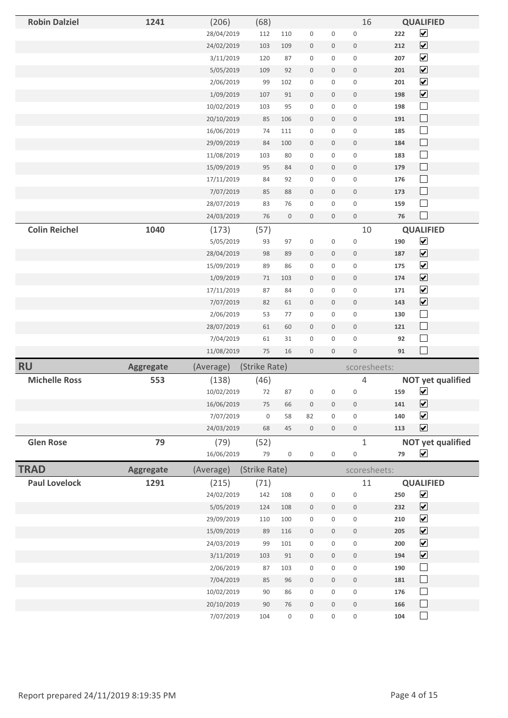| <b>Robin Dalziel</b> | 1241             | (206)      | (68)          |                     |                     |                     | 16                  |     | <b>QUALIFIED</b>             |  |
|----------------------|------------------|------------|---------------|---------------------|---------------------|---------------------|---------------------|-----|------------------------------|--|
|                      |                  | 28/04/2019 | 112           | 110                 | $\mathsf{O}\xspace$ | 0                   | $\mathsf 0$         | 222 | $\blacktriangledown$         |  |
|                      |                  | 24/02/2019 | 103           | 109                 | $\mathsf{O}\xspace$ | $\mathsf{O}\xspace$ | $\mathbf 0$         | 212 | $\overline{\mathbf{v}}$      |  |
|                      |                  | 3/11/2019  | 120           | 87                  | $\mathsf 0$         | 0                   | $\mathbf 0$         | 207 | $\overline{\mathbf{v}}$      |  |
|                      |                  | 5/05/2019  | 109           | 92                  | $\mathsf{O}\xspace$ | $\mathsf{O}$        | $\mathbb O$         | 201 | $\overline{\mathbf{v}}$      |  |
|                      |                  | 2/06/2019  | 99            | 102                 | $\mathsf{O}\xspace$ | 0                   | 0                   | 201 | $\overline{\mathbf{v}}$      |  |
|                      |                  | 1/09/2019  | 107           | 91                  | $\boldsymbol{0}$    | $\mathsf{O}\xspace$ | $\mathbf 0$         | 198 | $\overline{\mathbf{v}}$      |  |
|                      |                  | 10/02/2019 | 103           | 95                  | $\mathsf 0$         | $\mathsf{O}\xspace$ | $\mathbf 0$         | 198 | $\Box$                       |  |
|                      |                  | 20/10/2019 | 85            | 106                 | $\boldsymbol{0}$    | $\mathsf{O}\xspace$ | $\boldsymbol{0}$    | 191 | $\Box$                       |  |
|                      |                  | 16/06/2019 | 74            | 111                 | $\mathsf 0$         | 0                   | $\boldsymbol{0}$    | 185 | $\Box$                       |  |
|                      |                  | 29/09/2019 | 84            | 100                 | $\boldsymbol{0}$    | $\boldsymbol{0}$    | $\bf 0$             | 184 | $\Box$                       |  |
|                      |                  | 11/08/2019 | 103           | 80                  | $\mathsf 0$         | $\mathsf{O}\xspace$ | $\mathbf 0$         | 183 | $\Box$                       |  |
|                      |                  | 15/09/2019 | 95            | 84                  | $\mathsf{O}\xspace$ | $\mathsf{O}\xspace$ | $\mathbb O$         | 179 | $\Box$                       |  |
|                      |                  | 17/11/2019 | 84            | 92                  | $\mathsf{O}\xspace$ | 0                   | $\mathsf{O}\xspace$ | 176 | $\Box$                       |  |
|                      |                  | 7/07/2019  | 85            | 88                  | $\mathbf 0$         | $\mathsf{O}\xspace$ | $\boldsymbol{0}$    | 173 | $\sqcup$                     |  |
|                      |                  | 28/07/2019 | 83            | 76                  | $\mathsf 0$         | $\mathsf{O}\xspace$ | $\mathbf 0$         | 159 | $\sim$                       |  |
|                      |                  | 24/03/2019 | $76\,$        | $\mathsf{O}\xspace$ | $\mathsf{O}\xspace$ | $\mathsf{O}$        | $\mathbf 0$         | 76  | $\blacksquare$               |  |
| <b>Colin Reichel</b> | 1040             | (173)      | (57)          |                     |                     |                     | 10                  |     | <b>QUALIFIED</b>             |  |
|                      |                  | 5/05/2019  | 93            | 97                  | $\mathsf 0$         | $\mathsf 0$         | $\mathbf 0$         | 190 | $\blacktriangledown$         |  |
|                      |                  | 28/04/2019 | 98            | 89                  | $\mathsf{O}\xspace$ | 0                   | $\boldsymbol{0}$    | 187 | $\overline{\mathbf{v}}$      |  |
|                      |                  | 15/09/2019 | 89            | 86                  | $\mathsf 0$         | 0                   | $\boldsymbol{0}$    | 175 | $\overline{\mathbf{v}}$      |  |
|                      |                  | 1/09/2019  | 71            | 103                 | $\boldsymbol{0}$    | $\boldsymbol{0}$    | $\boldsymbol{0}$    | 174 | $\blacktriangledown$         |  |
|                      |                  | 17/11/2019 | 87            | 84                  | $\mathsf 0$         | $\mathsf{O}\xspace$ | $\mathbf 0$         | 171 | $\blacktriangledown$         |  |
|                      |                  | 7/07/2019  | 82            | 61                  | $\boldsymbol{0}$    | 0                   | $\boldsymbol{0}$    | 143 | $\boxed{\blacktriangledown}$ |  |
|                      |                  | 2/06/2019  | 53            | 77                  | $\mathsf 0$         | $\mathsf{O}\xspace$ | $\mathbf 0$         | 130 | $\Box$                       |  |
|                      |                  | 28/07/2019 | 61            | 60                  | $\boldsymbol{0}$    | $\mathbf 0$         | $\mathbf 0$         | 121 | $\sqcup$                     |  |
|                      |                  | 7/04/2019  | 61            | 31                  | $\mathsf 0$         | $\mathsf{O}\xspace$ | $\boldsymbol{0}$    | 92  | $\mathcal{L}_{\mathcal{A}}$  |  |
|                      |                  | 11/08/2019 | $75\,$        | 16                  | $\boldsymbol{0}$    | $\mathsf{O}\xspace$ | $\mathsf{O}\xspace$ | 91  | $\Box$                       |  |
| <b>RU</b>            | <b>Aggregate</b> | (Average)  | (Strike Rate) |                     |                     |                     | scoresheets:        |     |                              |  |
| <b>Michelle Ross</b> | 553              | (138)      | (46)          |                     |                     |                     | 4                   |     | <b>NOT yet qualified</b>     |  |
|                      |                  | 10/02/2019 | 72            | 87                  | 0                   | 0                   | $\mathsf{O}\xspace$ | 159 | $\blacktriangledown$         |  |
|                      |                  | 16/06/2019 | $75\,$        | 66                  | $\mathsf{O}\xspace$ | $\mathsf{O}\xspace$ | $\mathsf{O}\xspace$ | 141 | $\blacktriangledown$         |  |
|                      |                  | 7/07/2019  | $\mathsf{O}$  | 58                  | 82                  | 0                   | $\mathsf 0$         | 140 | $\blacktriangledown$         |  |
|                      |                  | 24/03/2019 | 68            | 45                  | $\mathsf{O}\xspace$ | $\mathsf{O}$        | $\mathsf{O}\xspace$ | 113 | $\blacktriangledown$         |  |
| <b>Glen Rose</b>     | 79               | (79)       | (52)          |                     |                     |                     | $\mathbf{1}$        |     | <b>NOT yet qualified</b>     |  |
|                      |                  | 16/06/2019 | 79            | $\mathsf 0$         | $\mathsf 0$         | $\mathsf 0$         | $\mathsf{O}\xspace$ | 79  | $\blacktriangledown$         |  |
| <b>TRAD</b>          | <b>Aggregate</b> | (Average)  | (Strike Rate) |                     |                     |                     | scoresheets:        |     |                              |  |
| <b>Paul Lovelock</b> | 1291             | (215)      | (71)          |                     |                     |                     | 11                  |     | <b>QUALIFIED</b>             |  |
|                      |                  | 24/02/2019 | 142           | 108                 | $\mathsf 0$         | $\mathsf 0$         | $\mathbf 0$         | 250 | $\blacktriangleright$        |  |
|                      |                  | 5/05/2019  | 124           | 108                 | $\boldsymbol{0}$    | 0                   | $\mathbb O$         | 232 | $\blacktriangledown$         |  |
|                      |                  | 29/09/2019 | 110           | 100                 | $\mathsf 0$         | 0                   | $\mathsf{O}\xspace$ | 210 | $\blacktriangledown$         |  |
|                      |                  | 15/09/2019 | 89            | 116                 | $\mathsf{O}\xspace$ | 0                   | $\mathsf{O}$        | 205 | $\blacktriangledown$         |  |
|                      |                  | 24/03/2019 | 99            | 101                 | $\mathsf 0$         | 0                   | $\mathsf{O}\xspace$ | 200 | $\blacktriangledown$         |  |
|                      |                  | 3/11/2019  | 103           | 91                  | $\mathsf{O}\xspace$ | $\mathsf{O}$        | $\mathsf{O}\xspace$ | 194 | $\boxed{\blacktriangledown}$ |  |
|                      |                  | 2/06/2019  | 87            | 103                 | $\mathsf 0$         | $\mathsf{O}$        | $\mathbf 0$         | 190 | $\Box$                       |  |
|                      |                  | 7/04/2019  | 85            | 96                  | $\mathsf{O}\xspace$ | $\mathsf{O}$        | $\mathsf{O}\xspace$ | 181 | $\sqcup$                     |  |
|                      |                  | 10/02/2019 | 90            | 86                  | $\mathsf 0$         | $\mathsf{O}\xspace$ | $\boldsymbol{0}$    | 176 | $\Box$                       |  |
|                      |                  | 20/10/2019 | $90\,$        | 76                  | $\mathsf{O}\xspace$ | 0                   | $\mathsf{O}\xspace$ | 166 | $\Box$                       |  |
|                      |                  | 7/07/2019  | 104           | $\mathsf{O}\xspace$ | 0                   | 0                   | 0                   | 104 | $\overline{\phantom{a}}$     |  |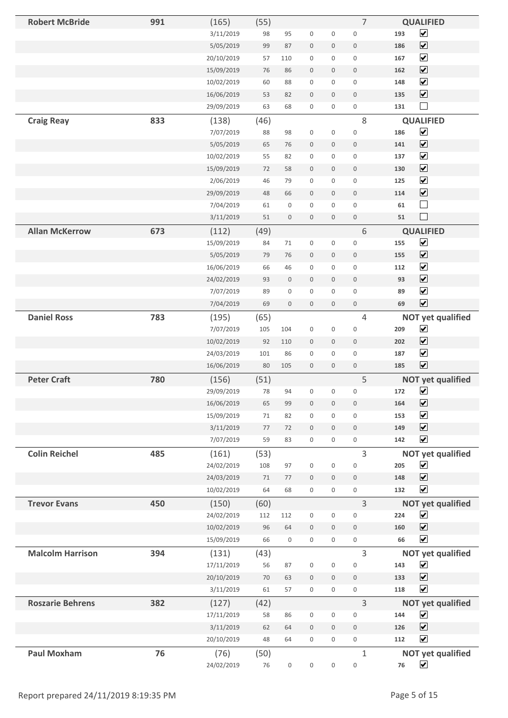| <b>Robert McBride</b>   | 991 | (165)                    | (55)        |                     |                     |                     | 7                     | <b>QUALIFIED</b>                                        |
|-------------------------|-----|--------------------------|-------------|---------------------|---------------------|---------------------|-----------------------|---------------------------------------------------------|
|                         |     | 3/11/2019                | 98          | 95                  | $\mathbf 0$         | $\mathsf{O}\xspace$ | $\boldsymbol{0}$      | $\blacktriangledown$<br>193                             |
|                         |     | 5/05/2019                | 99          | 87                  | $\mathbf 0$         | $\mathsf{O}\xspace$ | $\mathsf{O}\xspace$   | $\blacktriangledown$<br>186                             |
|                         |     | 20/10/2019               | 57          | 110                 | $\boldsymbol{0}$    | 0                   | $\mathbf 0$           | $\blacktriangledown$<br>167                             |
|                         |     | 15/09/2019               | 76          | 86                  | $\mathbf 0$         | $\mathbf 0$         | $\mathbf 0$           | $\blacktriangledown$<br>162                             |
|                         |     | 10/02/2019               | 60          | 88                  | $\mathsf{O}\xspace$ | 0                   | $\mathbf 0$           | $\blacktriangledown$<br>148                             |
|                         |     | 16/06/2019               | 53          | 82                  | $\mathbf 0$         | $\mathsf{O}\xspace$ | $\mathbf 0$           | $\blacktriangledown$<br>135                             |
|                         |     | 29/09/2019               | 63          | 68                  | $\boldsymbol{0}$    | $\mathsf{O}\xspace$ | $\mathbf 0$           | $\blacksquare$<br>131                                   |
| <b>Craig Reay</b>       | 833 | (138)                    | (46)        |                     |                     |                     | $\,8\,$               | <b>QUALIFIED</b>                                        |
|                         |     | 7/07/2019                | 88          | 98                  | $\mathbf 0$         | $\mathsf 0$         | $\mathbf 0$           | $\blacktriangledown$<br>186                             |
|                         |     | 5/05/2019                | 65          | $76\,$              | $\boldsymbol{0}$    | $\mathsf{O}\xspace$ | $\mathbf 0$           | $\blacktriangledown$<br>141                             |
|                         |     | 10/02/2019               | 55          | 82                  | $\mathsf{O}\xspace$ | $\mathsf{O}\xspace$ | $\mathbf 0$           | $\blacktriangledown$<br>137                             |
|                         |     | 15/09/2019               | 72          | 58                  | $\mathsf{O}\xspace$ | $\mathsf{O}\xspace$ | $\mathbf 0$           | $\blacktriangledown$<br>130                             |
|                         |     | 2/06/2019                | 46          | 79                  | $\mathbf 0$         | $\boldsymbol{0}$    | $\mathbf 0$           | $\blacktriangledown$<br>125                             |
|                         |     | 29/09/2019               | 48          | 66                  | $\mathbf 0$         | $\mathsf{O}\xspace$ | $\mathbf 0$           | $\blacktriangledown$<br>114                             |
|                         |     | 7/04/2019                | 61          | $\mathsf{O}\xspace$ | $\boldsymbol{0}$    | $\mathsf{O}\xspace$ | $\mathbf 0$           | $\Box$<br>61                                            |
|                         |     | 3/11/2019                | 51          | $\mathsf{O}\xspace$ | $\mathbf 0$         | $\mathsf{O}\xspace$ | $\mathbf 0$           | $\Box$<br>51                                            |
| <b>Allan McKerrow</b>   | 673 | (112)                    | (49)        |                     |                     |                     | 6                     | <b>QUALIFIED</b>                                        |
|                         |     | 15/09/2019               | 84          | 71                  | $\boldsymbol{0}$    | $\boldsymbol{0}$    | $\boldsymbol{0}$      | $\blacktriangledown$<br>155                             |
|                         |     | 5/05/2019                | 79          | 76                  | $\boldsymbol{0}$    | $\mathbf 0$         | $\mathbf 0$           | $\overline{\mathbf{v}}$<br>155                          |
|                         |     | 16/06/2019               | 66          | 46                  | $\mathsf{O}\xspace$ | 0                   | $\mathbf 0$           | $\blacktriangledown$<br>112                             |
|                         |     | 24/02/2019               | 93          | $\mathsf{O}\xspace$ | $\mathbf 0$         | $\mathsf{O}\xspace$ | $\mathbf 0$           | $\blacktriangledown$<br>93                              |
|                         |     | 7/07/2019                | 89          | $\mathsf{O}\xspace$ | $\mathsf 0$         | $\mathsf 0$         | $\mathbf 0$           | $\blacktriangledown$<br>89                              |
|                         |     | 7/04/2019                | 69          | $\mathsf{O}\xspace$ | $\boldsymbol{0}$    | $\mathbf 0$         | $\mathbf 0$           | $\blacktriangledown$<br>69                              |
| <b>Daniel Ross</b>      | 783 | (195)                    |             |                     |                     |                     | 4                     | <b>NOT yet qualified</b>                                |
|                         |     | 7/07/2019                | (65)<br>105 | 104                 | $\boldsymbol{0}$    | $\boldsymbol{0}$    | $\mathbf 0$           | $\blacktriangledown$<br>209                             |
|                         |     | 10/02/2019               | 92          | 110                 | $\mathbf 0$         | $\mathsf{O}\xspace$ | $\mathbf 0$           | $\blacktriangledown$<br>202                             |
|                         |     | 24/03/2019               | 101         | 86                  | $\boldsymbol{0}$    | 0                   | $\mathbf 0$           | $\blacktriangledown$<br>187                             |
|                         |     | 16/06/2019               | 80          | 105                 | $\mathbf 0$         | $\mathsf{O}\xspace$ | $\mathbf 0$           | $\blacktriangledown$<br>185                             |
|                         |     |                          |             |                     |                     |                     |                       |                                                         |
| <b>Peter Craft</b>      | 780 | (156)<br>29/09/2019      | (51)<br>78  | 94                  | $\boldsymbol{0}$    | $\boldsymbol{0}$    | 5<br>$\boldsymbol{0}$ | <b>NOT yet qualified</b><br>$\blacktriangledown$<br>172 |
|                         |     | 16/06/2019               | 65          | 99                  | $\mathsf{O}\xspace$ | $\mathsf{O}\xspace$ | $\mathbf 0$           | $\blacktriangledown$<br>164                             |
|                         |     | 15/09/2019               | 71          | 82                  | 0                   | $\mathbf 0$         | $\mathbf 0$           | $\blacktriangledown$<br>153                             |
|                         |     | 3/11/2019                | 77          | 72                  | $\mathbf 0$         | $\mathsf{O}\xspace$ | $\mathbf 0$           | $\blacktriangledown$<br>149                             |
|                         |     | 7/07/2019                | 59          | 83                  | $\boldsymbol{0}$    | 0                   | $\mathbf 0$           | $\blacktriangledown$<br>142                             |
|                         |     |                          |             |                     |                     |                     |                       |                                                         |
| <b>Colin Reichel</b>    | 485 | (161)<br>24/02/2019      | (53)<br>108 | 97                  | $\mathsf 0$         | $\mathsf{O}\xspace$ | 3<br>$\mathbf 0$      | <b>NOT yet qualified</b><br>$\blacktriangledown$<br>205 |
|                         |     |                          | 71          | 77                  | $\mathbf 0$         | $\mathbf 0$         | $\mathbf 0$           | $\blacktriangledown$<br>148                             |
|                         |     | 24/03/2019<br>10/02/2019 | 64          | 68                  | $\mathsf{O}\xspace$ | 0                   | $\mathsf{O}\xspace$   | $\blacktriangledown$<br>132                             |
|                         |     |                          |             |                     |                     |                     |                       |                                                         |
| <b>Trevor Evans</b>     | 450 | (150)                    | (60)        |                     |                     |                     | 3                     | <b>NOT yet qualified</b>                                |
|                         |     | 24/02/2019               | 112         | 112                 | $\mathsf 0$         | $\mathsf{O}\xspace$ | $\mathsf 0$           | $\blacktriangledown$<br>224                             |
|                         |     | 10/02/2019               | 96          | 64                  | $\boldsymbol{0}$    | $\boldsymbol{0}$    | $\mathbf 0$           | $\blacktriangledown$<br>160<br>$\blacktriangledown$     |
|                         |     | 15/09/2019               | 66          | $\mathsf{O}\xspace$ | $\mathsf{O}\xspace$ | $\mathbf 0$         | $\mathsf{O}\xspace$   | 66                                                      |
| <b>Malcolm Harrison</b> | 394 | (131)                    | (43)        |                     |                     |                     | 3                     | <b>NOT yet qualified</b>                                |
|                         |     | 17/11/2019               | 56          | 87                  | $\mathsf 0$         | $\mathsf 0$         | $\mathbf 0$           | $\blacktriangledown$<br>143                             |
|                         |     | 20/10/2019               | 70          | 63                  | $\mathsf{O}\xspace$ | $\mathbf 0$         | $\mathbf 0$           | $\blacktriangledown$<br>133                             |
|                         |     | 3/11/2019                | 61          | 57                  | $\mathsf{O}\xspace$ | $\mathsf{O}\xspace$ | $\mathsf{O}\xspace$   | $\blacktriangledown$<br>118                             |
| <b>Roszarie Behrens</b> | 382 | (127)                    | (42)        |                     |                     |                     | 3                     | <b>NOT yet qualified</b>                                |
|                         |     | 17/11/2019               | 58          | 86                  | $\mathsf{O}\xspace$ | $\mathsf{O}\xspace$ | $\boldsymbol{0}$      | $\blacktriangledown$<br>144                             |
|                         |     | 3/11/2019                | 62          | 64                  | $\mathbf 0$         | $\mathsf{O}\xspace$ | $\mathbf 0$           | $\blacktriangledown$<br>126                             |
|                         |     | 20/10/2019               | 48          | 64                  | $\boldsymbol{0}$    | $\mathsf{O}\xspace$ | $\mathbf 0$           | $\blacktriangledown$<br>112                             |
| <b>Paul Moxham</b>      | 76  | (76)                     | (50)        |                     |                     |                     | $\mathbf{1}$          | <b>NOT yet qualified</b>                                |
|                         |     | 24/02/2019               | 76          | $\mathsf 0$         | $\mathsf 0$         | $\mathbf 0$         | $\mathsf 0$           | $\blacktriangledown$<br>${\bf 76}$                      |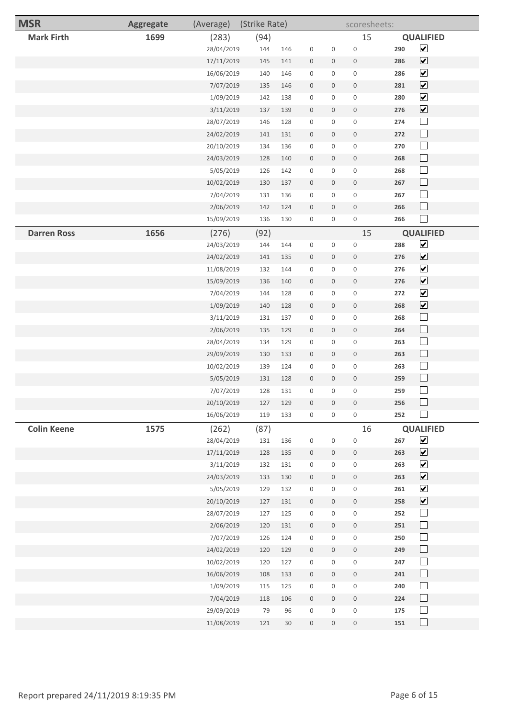| <b>MSR</b>         | <b>Aggregate</b> | (Average)  | (Strike Rate) |     |                     |                     | scoresheets:        |     |                              |  |
|--------------------|------------------|------------|---------------|-----|---------------------|---------------------|---------------------|-----|------------------------------|--|
| <b>Mark Firth</b>  | 1699             | (283)      | (94)          |     |                     |                     | 15                  |     | <b>QUALIFIED</b>             |  |
|                    |                  | 28/04/2019 | 144           | 146 | $\mathbf 0$         | $\mathsf{O}\xspace$ | $\mathsf 0$         | 290 | $\blacktriangledown$         |  |
|                    |                  | 17/11/2019 | 145           | 141 | $\boldsymbol{0}$    | $\mathbf 0$         | $\mathbb O$         | 286 | $\overline{\mathbf{v}}$      |  |
|                    |                  | 16/06/2019 | 140           | 146 | $\mathsf{O}\xspace$ | $\mathbf 0$         | $\mathsf{O}\xspace$ | 286 | $\overline{\mathbf{v}}$      |  |
|                    |                  | 7/07/2019  | 135           | 146 | $\mathsf{O}\xspace$ | $\mathsf{O}\xspace$ | $\mathbf 0$         | 281 | $\boxed{\blacktriangledown}$ |  |
|                    |                  | 1/09/2019  | 142           | 138 | $\mathbf 0$         | 0                   | $\mathbb O$         | 280 | $\overline{\mathbf{v}}$      |  |
|                    |                  | 3/11/2019  | 137           | 139 | $\mathbf 0$         | 0                   | $\mathbb O$         | 276 | $\boxed{\blacktriangledown}$ |  |
|                    |                  | 28/07/2019 | 146           | 128 | $\mathbf 0$         | $\mathbf 0$         | $\mathbf 0$         | 274 | $\Box$                       |  |
|                    |                  | 24/02/2019 | 141           | 131 | $\boldsymbol{0}$    | $\mathbf 0$         | $\boldsymbol{0}$    | 272 | $\Box$                       |  |
|                    |                  | 20/10/2019 | 134           | 136 | $\mathsf{O}\xspace$ | $\mathbf 0$         | $\mathbb O$         | 270 | $\Box$                       |  |
|                    |                  | 24/03/2019 | 128           | 140 | $\mathbf 0$         | $\mathbf 0$         | $\mathbb O$         | 268 | $\Box$                       |  |
|                    |                  | 5/05/2019  | 126           | 142 | $\mathbf 0$         | $\mathbf 0$         | $\mathbb O$         | 268 | $\Box$                       |  |
|                    |                  | 10/02/2019 | 130           | 137 | $\mathbf 0$         | $\mathbf 0$         | $\mathbb O$         | 267 | $\Box$                       |  |
|                    |                  | 7/04/2019  | 131           | 136 | $\mathsf{O}\xspace$ | $\mathbf 0$         | $\mathbf 0$         | 267 | $\Box$                       |  |
|                    |                  | 2/06/2019  | 142           | 124 | $\mathbf 0$         | $\mathsf{O}\xspace$ | $\mathbb O$         | 266 | $\Box$                       |  |
|                    |                  | 15/09/2019 | 136           | 130 | $\mathsf{O}\xspace$ | $\mathbf 0$         | $\mathsf{O}\xspace$ | 266 | $\Box$                       |  |
| <b>Darren Ross</b> | 1656             | (276)      | (92)          |     |                     |                     | 15                  |     | <b>QUALIFIED</b>             |  |
|                    |                  | 24/03/2019 | 144           | 144 | $\mathbf 0$         | $\mathbf 0$         | $\mathbf 0$         | 288 | $\blacktriangledown$         |  |
|                    |                  | 24/02/2019 | 141           | 135 | $\boldsymbol{0}$    | $\mathbf 0$         | $\mathbf 0$         | 276 | $\blacktriangledown$         |  |
|                    |                  | 11/08/2019 | 132           | 144 | $\mathbf 0$         | $\mathbf 0$         | $\mathbb O$         | 276 | $\overline{\mathbf{v}}$      |  |
|                    |                  | 15/09/2019 | 136           | 140 | $\mathbf 0$         | $\mathbf 0$         | $\mathbb O$         | 276 | $\blacktriangledown$         |  |
|                    |                  | 7/04/2019  | 144           | 128 | $\mathbf 0$         | $\mathbf 0$         | $\mathbb O$         | 272 | $\blacktriangledown$         |  |
|                    |                  | 1/09/2019  | 140           | 128 | $\mathbf 0$         | $\mathbf 0$         | $\mathbb O$         | 268 | $\blacktriangledown$         |  |
|                    |                  | 3/11/2019  | 131           | 137 | $\mathsf{O}\xspace$ | $\mathbf 0$         | $\mathbf 0$         | 268 | $\Box$                       |  |
|                    |                  | 2/06/2019  | 135           | 129 | $\mathbf 0$         | $\mathbf 0$         | $\mathbb O$         | 264 | $\Box$                       |  |
|                    |                  | 28/04/2019 | 134           | 129 | $\mathbf 0$         | $\mathsf{O}\xspace$ | $\mathbb O$         | 263 | $\Box$                       |  |
|                    |                  | 29/09/2019 | 130           | 133 | $\mathbf 0$         | $\mathbf 0$         | $\mathbf 0$         | 263 | $\Box$                       |  |
|                    |                  | 10/02/2019 | 139           | 124 | $\mathbf 0$         | $\mathbf 0$         | $\mathbb O$         | 263 | $\Box$                       |  |
|                    |                  | 5/05/2019  | 131           | 128 | $\mathbf 0$         | $\mathbf 0$         | $\mathbb O$         | 259 | $\Box$                       |  |
|                    |                  | 7/07/2019  | 128           | 131 | $\mathbf 0$         | 0                   | $\mathsf 0$         | 259 | $\Box$                       |  |
|                    |                  | 20/10/2019 | 127           | 129 | $\mathsf{O}\xspace$ | 0                   | $\mathsf{O}\xspace$ | 256 | $\Box$                       |  |
|                    |                  | 16/06/2019 | 119           | 133 | $\mathsf{O}\xspace$ | $\mathsf{O}$        | $\mathsf{O}\xspace$ | 252 | $\Box$                       |  |
| <b>Colin Keene</b> | 1575             | (262)      | (87)          |     |                     |                     | 16                  |     | <b>QUALIFIED</b>             |  |
|                    |                  | 28/04/2019 | 131           | 136 | $\mathsf 0$         | $\mathsf{O}\xspace$ | $\mathbf 0$         | 267 | $\blacktriangledown$         |  |
|                    |                  | 17/11/2019 | 128           | 135 | $\mathsf{O}\xspace$ | $\mathsf{O}\xspace$ | $\mathbf 0$         | 263 | $\boxed{\blacktriangledown}$ |  |
|                    |                  | 3/11/2019  | 132           | 131 | $\mathsf{O}\xspace$ | $\mathsf{O}$        | $\mathbf 0$         | 263 | $\blacktriangledown$         |  |
|                    |                  | 24/03/2019 | 133           | 130 | $\mathsf{O}\xspace$ | $\mathbf 0$         | $\mathsf{O}$        | 263 | $\blacktriangledown$         |  |
|                    |                  | 5/05/2019  | 129           | 132 | $\mathsf{O}\xspace$ | $\mathbf 0$         | $\mathsf{O}\xspace$ | 261 | $\blacktriangledown$         |  |
|                    |                  | 20/10/2019 | 127           | 131 | $\mathsf{O}\xspace$ | $\mathsf{O}\xspace$ | $\mathsf{O}\xspace$ | 258 | $\blacktriangledown$         |  |
|                    |                  | 28/07/2019 | 127           | 125 | $\mathsf{O}\xspace$ | $\mathbf 0$         | $\mathsf{O}\xspace$ | 252 | $\Box$                       |  |
|                    |                  | 2/06/2019  | 120           | 131 | $\mathsf{O}\xspace$ | $\mathsf{O}\xspace$ | $\mathsf{O}$        | 251 | $\Box$                       |  |
|                    |                  | 7/07/2019  | 126           | 124 | $\mathsf{O}\xspace$ | 0                   | $\mathsf{O}\xspace$ | 250 | $\Box$                       |  |
|                    |                  | 24/02/2019 | 120           | 129 | $\mathsf{O}\xspace$ | $\mathsf{O}\xspace$ | $\mathbf 0$         | 249 | $\Box$                       |  |
|                    |                  | 10/02/2019 | 120           | 127 | $\mathsf 0$         | $\mathsf{O}\xspace$ | $\mathsf{O}\xspace$ | 247 | $\Box$                       |  |
|                    |                  | 16/06/2019 | 108           | 133 | $\mathsf{O}\xspace$ | $\mathsf{O}\xspace$ | $\mathsf{O}\xspace$ | 241 | $\Box$                       |  |
|                    |                  | 1/09/2019  | 115           | 125 | $\mathsf{O}\xspace$ | $\mathbf 0$         | $\mathsf{O}\xspace$ | 240 | $\Box$                       |  |
|                    |                  | 7/04/2019  | 118           | 106 | $\mathsf{O}$        | $\mathbf 0$         | $\mathsf{O}\xspace$ | 224 | $\Box$                       |  |
|                    |                  | 29/09/2019 | 79            | 96  | $\mathsf{O}\xspace$ | $\mathbf 0$         | $\mathsf{O}\xspace$ | 175 | $\Box$                       |  |
|                    |                  | 11/08/2019 | 121           | 30  | $\mathsf{O}\xspace$ | $\mathsf{O}\xspace$ | $\mathsf{O}\xspace$ | 151 | $\Box$                       |  |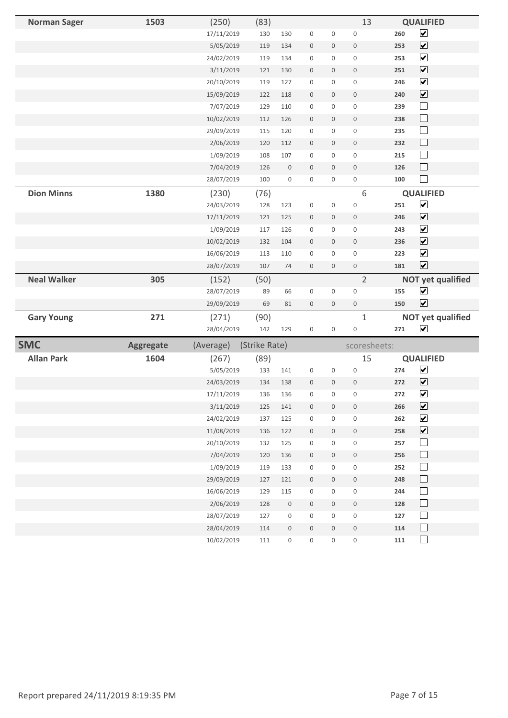| <b>Norman Sager</b> | 1503             | (250)                    | (83)          |                                    |                          |                     | 13                                         |            | <b>QUALIFIED</b>            |
|---------------------|------------------|--------------------------|---------------|------------------------------------|--------------------------|---------------------|--------------------------------------------|------------|-----------------------------|
|                     |                  | 17/11/2019               | 130           | 130                                | $\mathsf 0$              | $\mathsf 0$         | $\mathbf 0$                                | 260        | $\overline{\mathbf{v}}$     |
|                     |                  | 5/05/2019                | 119           | 134                                | $\mathsf{O}\xspace$      | $\mathsf{O}$        | $\mathbf 0$                                | 253        | $\overline{\mathbf{v}}$     |
|                     |                  | 24/02/2019               | 119           | 134                                | $\mathsf{O}\xspace$      | 0                   | $\mathsf{O}\xspace$                        | 253        | $\overline{\mathbf{v}}$     |
|                     |                  | 3/11/2019                | 121           | 130                                | $\mathsf{O}\xspace$      | $\mathsf{O}$        | $\mathbf 0$                                | 251        | $\overline{\mathbf{v}}$     |
|                     |                  | 20/10/2019               | 119           | 127                                | $\boldsymbol{0}$         | 0                   | $\mathbf 0$                                | 246        | $\overline{\mathbf{v}}$     |
|                     |                  | 15/09/2019               | 122           | 118                                | $\mathbb O$              | $\mathbf 0$         | $\mathsf{O}$                               | 240        | $\overline{\mathbf{v}}$     |
|                     |                  | 7/07/2019                | 129           | 110                                | $\mathsf{O}\xspace$      | 0                   | $\mathsf{O}\xspace$                        | 239        | $\overline{\phantom{a}}$    |
|                     |                  | 10/02/2019               | 112           | 126                                | $\boldsymbol{0}$         | $\mathbf 0$         | $\boldsymbol{0}$                           | 238        | $\Box$                      |
|                     |                  | 29/09/2019               | 115           | 120                                | $\mathsf 0$              | $\mathsf 0$         | $\mathbf 0$                                | 235        | $\Box$                      |
|                     |                  | 2/06/2019                | 120           | 112                                | $\boldsymbol{0}$         | $\mathsf{O}\xspace$ | $\mathbf 0$                                | 232        | $\sqcup$                    |
|                     |                  | 1/09/2019                | 108           | 107                                | $\mathsf{O}\xspace$      | $\mathsf{O}$        | $\mathsf{O}\xspace$                        | 215        | $\Box$                      |
|                     |                  | 7/04/2019                | 126           | $\mathsf{O}\xspace$                | $\boldsymbol{0}$         | $\mathsf{O}\xspace$ | $\mathbf 0$                                | 126        | $\Box$                      |
|                     |                  | 28/07/2019               | 100           | 0                                  | $\mathsf{O}\xspace$      | 0                   | $\mathsf{O}\xspace$                        | 100        |                             |
| <b>Dion Minns</b>   | 1380             | (230)                    | (76)          |                                    |                          |                     | $6\,$                                      |            | <b>QUALIFIED</b>            |
|                     |                  | 24/03/2019               | 128           | 123                                | $\mathsf 0$              | 0                   | $\mathbf 0$                                | 251        | $\overline{\mathbf{v}}$     |
|                     |                  | 17/11/2019               | 121           | 125                                | $\mathbb O$              | $\mathsf{O}\xspace$ | $\mathbf 0$                                | 246        | $\overline{\mathbf{v}}$     |
|                     |                  | 1/09/2019                | 117           | 126                                | $\mathsf{O}\xspace$      | 0                   | 0                                          | 243        | $\blacktriangledown$        |
|                     |                  | 10/02/2019               | 132           | 104                                | $\mathbf 0$              | $\mathbf 0$         | $\mathsf{O}\xspace$                        | 236        | $\blacktriangledown$        |
|                     |                  | 16/06/2019               | 113           | 110                                | $\mathsf 0$              | $\mathsf{O}\xspace$ | $\mathbf 0$                                | 223        | $\overline{\mathbf{v}}$     |
|                     |                  | 28/07/2019               | 107           | 74                                 | $\boldsymbol{0}$         | $\mathsf{O}\xspace$ | $\mathbf 0$                                | 181        | $\overline{\mathbf{v}}$     |
| <b>Neal Walker</b>  | 305              | (152)                    | (50)          |                                    |                          |                     | $\overline{2}$                             |            | <b>NOT yet qualified</b>    |
|                     |                  | 28/07/2019               | 89            | 66                                 | $\mathsf{O}\xspace$      | 0                   | $\mathsf 0$                                | 155        | $\blacktriangledown$        |
|                     |                  | 29/09/2019               | 69            | 81                                 | $\mathsf{O}\xspace$      | $\mathsf{O}\xspace$ | $\mathsf{O}\xspace$                        | 150        | $\blacktriangledown$        |
| <b>Gary Young</b>   | 271              | (271)                    | (90)          |                                    |                          |                     | $\mathbf{1}$                               |            | <b>NOT yet qualified</b>    |
|                     |                  |                          | 142           | 129                                |                          | 0                   | $\mathsf{O}\xspace$                        | 271        | $\blacktriangledown$        |
|                     |                  | 28/04/2019               |               |                                    | $\mathsf{O}\xspace$      |                     |                                            |            |                             |
| <b>SMC</b>          | <b>Aggregate</b> | (Average)                | (Strike Rate) |                                    |                          |                     | scoresheets:                               |            |                             |
| <b>Allan Park</b>   | 1604             | (267)                    | (89)          |                                    |                          |                     | 15                                         |            | <b>QUALIFIED</b>            |
|                     |                  | 5/05/2019                | 133           | 141                                | $\mathsf{O}\xspace$      | $\mathsf{O}\xspace$ | $\mathsf 0$                                | 274        | $\blacktriangledown$        |
|                     |                  | 24/03/2019               | 134           | 138                                | $\boldsymbol{0}$         | $\mathsf{O}\xspace$ | $\mathbf 0$                                | 272        | $\blacktriangledown$        |
|                     |                  | 17/11/2019               | 136           | 136                                | $\mathbf{0}$             | 0                   | $\mathbf 0$                                | 272        | $\overline{\mathbf{v}}$     |
|                     |                  | 3/11/2019                | 125           | 141                                | $\mathsf{O}\xspace$      | $\mathsf{O}$        | $\mathsf{O}\xspace$                        | 266        | $\overline{\mathbf{v}}$     |
|                     |                  | 24/02/2019               | 137           | 125                                | 0                        | 0                   | $\boldsymbol{0}$                           | 262        | $\blacktriangleright$       |
|                     |                  | 11/08/2019               | 136           | 122                                | $\mathsf{O}\xspace$      | $\mathsf{O}$        | $\mathsf{O}\xspace$                        | 258        | $\overline{\mathbf{v}}$     |
|                     |                  | 20/10/2019               | 132           | 125                                | $\mathbf 0$              | $\mathsf{O}$        | $\mathsf{O}\xspace$                        | 257        | $\Box$                      |
|                     |                  | 7/04/2019                | 120           | 136                                | $\mathbf 0$              | $\mathbf 0$         | $\mathsf{O}\xspace$                        | 256        | $\Box$                      |
|                     |                  | 1/09/2019                | 119           | 133                                | 0                        | 0                   | $\mathsf{O}\xspace$                        | 252        | $\mathcal{L}_{\mathcal{A}}$ |
|                     |                  | 29/09/2019               | 127           | 121                                | $\mathsf{O}\xspace$      | $\mathsf{O}\xspace$ | $\boldsymbol{0}$                           | 248        | $\Box$                      |
|                     |                  | 16/06/2019               | 129           | 115                                | $\mathsf{O}\xspace$      | 0                   | $\mathsf{O}\xspace$                        | 244        | $\sim$                      |
|                     |                  | 2/06/2019                | 128           | $\mathsf{O}$                       | $\mathsf{O}\xspace$      | $\mathsf{O}$        | $\mathsf{O}\xspace$                        | 128        | $\Box$                      |
|                     |                  | 28/07/2019               | 127           | $\mathsf{O}\xspace$                | 0                        | 0                   | $\mathsf{O}\xspace$                        | 127        | $\mathbb{R}^n$              |
|                     |                  | 28/04/2019<br>10/02/2019 | 114<br>111    | $\mathsf{O}\xspace$<br>$\mathsf 0$ | $\mathsf{O}\xspace$<br>0 | $\mathsf{O}$<br>0   | $\mathsf{O}\xspace$<br>$\mathsf{O}\xspace$ | 114<br>111 | $\Box$<br>$\sqcup$          |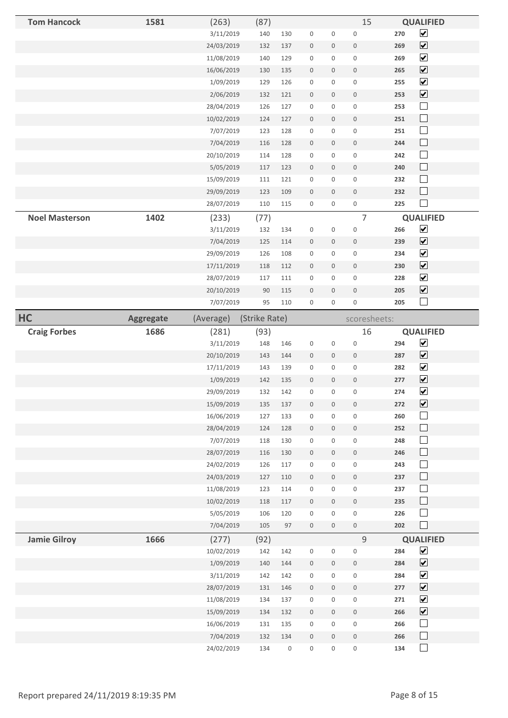| <b>Tom Hancock</b>    | 1581      | (263)                   | (87)          |            |                          |                     | 15                       | <b>QUALIFIED</b>                    |  |
|-----------------------|-----------|-------------------------|---------------|------------|--------------------------|---------------------|--------------------------|-------------------------------------|--|
|                       |           | 3/11/2019               | 140           | 130        | 0                        | 0                   | $\mathsf{O}\xspace$      | $\blacktriangledown$<br>270         |  |
|                       |           | 24/03/2019              | 132           | 137        | $\mathsf{O}\xspace$      | $\mathsf{O}\xspace$ | $\mathsf{O}\xspace$      | $\boxed{\blacktriangledown}$<br>269 |  |
|                       |           | 11/08/2019              | 140           | 129        | $\mathsf{O}\xspace$      | 0                   | $\mathsf{O}\xspace$      | $\blacktriangledown$<br>269         |  |
|                       |           | 16/06/2019              | 130           | 135        | $\mathsf{O}\xspace$      | $\mathsf{O}\xspace$ | $\mathbf 0$              | $\boxed{\blacktriangledown}$<br>265 |  |
|                       |           | 1/09/2019               | 129           | 126        | $\mathsf{O}\xspace$      | 0                   | $\mathsf{O}\xspace$      | $\blacktriangledown$<br>255         |  |
|                       |           | 2/06/2019               | 132           | 121        | $\boldsymbol{0}$         | $\boldsymbol{0}$    | $\boldsymbol{0}$         | $\boxed{\blacktriangledown}$<br>253 |  |
|                       |           | 28/04/2019              | 126           | 127        | $\mathsf 0$              | $\mathsf{O}\xspace$ | $\mathsf 0$              | $\Box$<br>253                       |  |
|                       |           | 10/02/2019              | 124           | 127        | $\boldsymbol{0}$         | $\boldsymbol{0}$    | $\mathsf 0$              | $\Box$<br>251                       |  |
|                       |           | 7/07/2019               | 123           | 128        | 0                        | 0                   | $\mathsf 0$              | $\Box$<br>251                       |  |
|                       |           | 7/04/2019               | 116           | 128        | $\mathsf 0$              | $\boldsymbol{0}$    | $\boldsymbol{0}$         | $\Box$<br>244                       |  |
|                       |           | 20/10/2019              | 114           | 128        | $\mathsf{O}\xspace$      | $\mathsf{O}\xspace$ | $\mathsf 0$              | $\Box$<br>242                       |  |
|                       |           | 5/05/2019               | 117           | 123        | $\mathsf{O}\xspace$      | $\boldsymbol{0}$    | $\mathbf 0$              | $\Box$<br>240                       |  |
|                       |           | 15/09/2019              | 111           | 121        | $\mathsf{O}\xspace$      | 0                   | $\mathsf{O}\xspace$      | $\Box$<br>232                       |  |
|                       |           | 29/09/2019              | 123           | 109        | $\boldsymbol{0}$         | $\boldsymbol{0}$    | $\boldsymbol{0}$         | $\Box$<br>232                       |  |
|                       |           | 28/07/2019              | 110           | 115        | $\mathsf{O}\xspace$      | 0                   | $\mathsf 0$              | $\blacksquare$<br>225               |  |
| <b>Noel Masterson</b> | 1402      | (233)                   | (77)          |            |                          |                     | $\overline{7}$           | <b>QUALIFIED</b>                    |  |
|                       |           | 3/11/2019               | 132           | 134        | 0                        | $\mathsf 0$         | $\mathsf{O}\xspace$      | $\overline{\mathbf{v}}$<br>266      |  |
|                       |           | 7/04/2019               | 125           | 114        | $\mathsf{O}\xspace$      | $\mathsf{O}\xspace$ | $\mathsf{O}\xspace$      | $\boxed{\blacktriangledown}$<br>239 |  |
|                       |           | 29/09/2019              | 126           | 108        | 0                        | 0                   | $\mathsf 0$              | $\blacktriangledown$<br>234         |  |
|                       |           | 17/11/2019              | 118           | 112        | $\mathsf 0$              | 0                   | $\boldsymbol{0}$         | $\blacktriangledown$<br>230         |  |
|                       |           | 28/07/2019              | 117           | 111        | $\mathsf{O}\xspace$      | $\mathsf{O}\xspace$ | $\mathsf{O}\xspace$      | $\blacktriangledown$<br>228         |  |
|                       |           | 20/10/2019              | 90            | 115        | $\mathsf{O}\xspace$      | $\boldsymbol{0}$    | $\mathsf{O}\xspace$      | $\blacktriangledown$<br>205         |  |
|                       |           | 7/07/2019               | 95            | 110        | $\mathsf{O}\xspace$      | 0                   | $\mathsf 0$              | $\Box$<br>205                       |  |
| HC                    | Aggregate | (Average)               | (Strike Rate) |            |                          |                     | scoresheets:             |                                     |  |
| <b>Craig Forbes</b>   | 1686      | (281)                   | (93)          |            |                          |                     | 16                       | <b>QUALIFIED</b>                    |  |
|                       |           |                         |               |            |                          |                     |                          |                                     |  |
|                       |           | 3/11/2019               | 148           | 146        | $\mathsf 0$              | $\mathsf 0$         | $\mathsf{O}\xspace$      | $\blacktriangledown$<br>294         |  |
|                       |           | 20/10/2019              | 143           | 144        | $\boldsymbol{0}$         | $\boldsymbol{0}$    | $\boldsymbol{0}$         | $\boxed{\blacktriangledown}$<br>287 |  |
|                       |           | 17/11/2019              | 143           | 139        | 0                        | $\mathsf{O}\xspace$ | $\mathsf 0$              | $\blacktriangledown$<br>282         |  |
|                       |           | 1/09/2019               | 142           | 135        | $\boldsymbol{0}$         | 0                   | $\mathsf 0$              | $\boxed{\blacktriangledown}$<br>277 |  |
|                       |           | 29/09/2019              | 132           | 142        | $\mathsf 0$              | 0                   | $\mathsf 0$              | $\overline{\mathbf{v}}$<br>274      |  |
|                       |           | 15/09/2019              | 135           | 137        | $\mathsf{O}\xspace$      | $\mathsf{O}\xspace$ | $\mathsf{O}\xspace$      | $\blacktriangledown$<br>272         |  |
|                       |           | 16/06/2019              | 127           | 133        | 0                        | 0                   | $\mathsf{O}\xspace$      | 260<br>$\mathcal{L}_{\mathcal{A}}$  |  |
|                       |           | 28/04/2019              | 124           | 128        | $\mathsf{O}\xspace$      | $\mathsf{O}$        | $\mathsf{O}\xspace$      | $\Box$<br>252                       |  |
|                       |           | 7/07/2019               | 118           | 130        | 0                        | 0                   | $\mathsf{O}\xspace$      | $\Box$<br>248                       |  |
|                       |           | 28/07/2019              | 116           | 130        | $\mathsf{O}\xspace$      | $\boldsymbol{0}$    | $\mathsf{O}\xspace$      | $\Box$<br>246                       |  |
|                       |           | 24/02/2019              | 126           | 117        | $\mathsf 0$              | 0                   | $\mathbf 0$              | $\Box$<br>243                       |  |
|                       |           | 24/03/2019              | 127           | 110        | $\boldsymbol{0}$         | $\mathbf 0$         | $\mathsf 0$              | $\Box$<br>237                       |  |
|                       |           | 11/08/2019              | 123           | 114        | $\mathsf 0$              | 0                   | $\mathsf{O}\xspace$      | $\Box$<br>237                       |  |
|                       |           | 10/02/2019              | 118           | 117        | $\mathsf{O}\xspace$      | $\mathsf{O}\xspace$ | $\mathsf 0$              | $\Box$<br>235                       |  |
|                       |           | 5/05/2019               | 106           | 120        | $\mathsf{O}\xspace$      | 0                   | $\mathsf{O}\xspace$      | $\Box$<br>226                       |  |
|                       |           | 7/04/2019               | 105           | 97         | $\mathsf{O}\xspace$      | $\mathsf{O}$        | $\mathsf{O}\xspace$      | П<br>202                            |  |
| <b>Jamie Gilroy</b>   | 1666      | (277)                   | (92)          |            |                          |                     | $\mathsf 9$              | <b>QUALIFIED</b>                    |  |
|                       |           | 10/02/2019              | 142           | 142        | $\mathsf 0$              | $\mathsf{O}\xspace$ | $\mathsf 0$              | $\blacktriangleright$<br>284        |  |
|                       |           | 1/09/2019               | 140           | 144        | $\boldsymbol{0}$         | $\mathsf{O}$        | $\boldsymbol{0}$         | $\boxed{\blacktriangledown}$<br>284 |  |
|                       |           | 3/11/2019               | 142           | 142        | $\mathsf{O}\xspace$      | 0                   | 0                        | $\blacktriangledown$<br>284         |  |
|                       |           | 28/07/2019              | 131           | 146        | $\boldsymbol{0}$         | 0                   | $\mathsf{O}\xspace$      | $\boxed{\blacktriangledown}$<br>277 |  |
|                       |           | 11/08/2019              | 134           | 137        | $\mathsf{O}\xspace$      | 0                   | $\mathsf 0$              | $\blacktriangledown$<br>271         |  |
|                       |           | 15/09/2019              | 134           | 132        | $\mathsf{O}\xspace$      | $\mathsf{O}$        | $\mathsf{O}\xspace$      | $\boxed{\blacktriangledown}$<br>266 |  |
|                       |           | 16/06/2019<br>7/04/2019 | 131<br>132    | 135<br>134 | $\mathsf{O}\xspace$<br>0 | 0<br>0              | $\mathsf{O}\xspace$<br>0 | $\Box$<br>266<br>266<br>$\Box$      |  |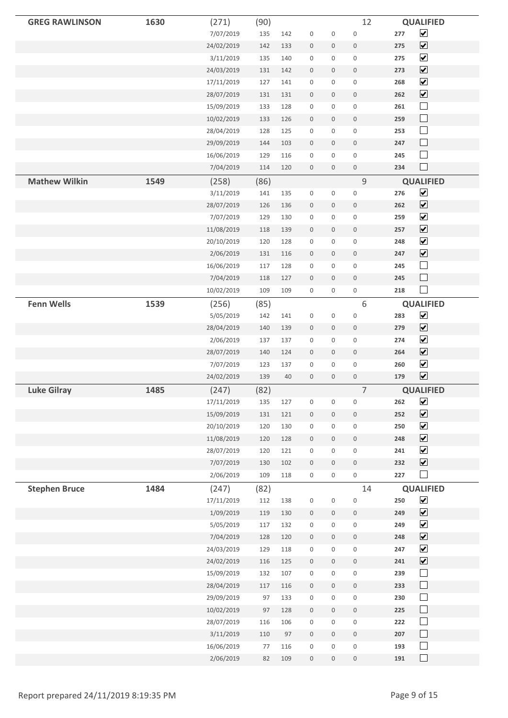| <b>GREG RAWLINSON</b> | 1630 | (271)              | (90)        |     |                     |                     | 12                  |     | <b>QUALIFIED</b>                         |
|-----------------------|------|--------------------|-------------|-----|---------------------|---------------------|---------------------|-----|------------------------------------------|
|                       |      | 7/07/2019          | 135         | 142 | $\mathbf 0$         | $\mathbf 0$         | $\mathsf 0$         | 277 | $\blacktriangledown$                     |
|                       |      | 24/02/2019         | 142         | 133 | $\boldsymbol{0}$    | $\mathbf 0$         | $\mathbf 0$         | 275 | $\blacktriangledown$                     |
|                       |      | 3/11/2019          | 135         | 140 | $\mathbf 0$         | $\mathsf{O}$        | $\boldsymbol{0}$    | 275 | $\blacktriangledown$                     |
|                       |      | 24/03/2019         | 131         | 142 | $\mathbf 0$         | $\mathbf 0$         | $\mathbf 0$         | 273 | $\blacktriangledown$                     |
|                       |      | 17/11/2019         | 127         | 141 | $\mathbf 0$         | $\mathsf{O}$        | $\mathbf 0$         | 268 | $\blacktriangledown$                     |
|                       |      | 28/07/2019         | 131         | 131 | $\mathbb O$         | $\mathsf{O}\xspace$ | $\mathbf 0$         | 262 | $\overline{\mathbf{v}}$                  |
|                       |      | 15/09/2019         | 133         | 128 | $\mathbf 0$         | $\mathbf 0$         | $\mathbf 0$         | 261 | $\Box$                                   |
|                       |      | 10/02/2019         | 133         | 126 | $\mathbf 0$         | $\mathsf{O}\xspace$ | $\mathbf 0$         | 259 | $\Box$                                   |
|                       |      | 28/04/2019         | 128         | 125 | $\mathbf 0$         | $\mathsf{O}\xspace$ | $\mathbf 0$         | 253 | $\Box$                                   |
|                       |      | 29/09/2019         | 144         | 103 | $\bf 0$             | $\mathbf 0$         | $\boldsymbol{0}$    | 247 | $\Box$                                   |
|                       |      | 16/06/2019         | 129         | 116 | $\mathbf 0$         | $\mathbf 0$         | $\mathbf 0$         | 245 | $\Box$                                   |
|                       |      | 7/04/2019          | 114         | 120 | $\mathbf 0$         | $\mathsf{O}\xspace$ | $\mathbf 0$         | 234 | $\Box$                                   |
| <b>Mathew Wilkin</b>  | 1549 | (258)              | (86)        |     |                     |                     | $\mathsf 9$         |     | <b>QUALIFIED</b>                         |
|                       |      | 3/11/2019          | 141         | 135 | $\mathbf 0$         | $\mathbf 0$         | $\mathbf 0$         | 276 | $\blacktriangledown$                     |
|                       |      | 28/07/2019         | 126         | 136 | $\bf 0$             | $\mathbf 0$         | $\boldsymbol{0}$    | 262 | $\overline{\mathbf{v}}$                  |
|                       |      | 7/07/2019          | 129         | 130 | $\boldsymbol{0}$    | 0                   | $\boldsymbol{0}$    | 259 | $\blacktriangledown$                     |
|                       |      | 11/08/2019         | 118         | 139 | $\bf 0$             | 0                   | $\mathbf 0$         | 257 | $\blacktriangledown$                     |
|                       |      | 20/10/2019         | 120         | 128 | $\mathbf 0$         | $\mathsf{O}\xspace$ | $\boldsymbol{0}$    | 248 | $\blacktriangledown$                     |
|                       |      | 2/06/2019          | 131         | 116 | $\mathbf 0$         | $\mathbf 0$         | $\boldsymbol{0}$    | 247 | $\overline{\mathbf{v}}$                  |
|                       |      | 16/06/2019         | 117         | 128 | $\mathbf 0$         | $\mathbf 0$         | $\mathbf 0$         | 245 | $\Box$                                   |
|                       |      | 7/04/2019          | 118         | 127 | $\mathbf 0$         | $\mathbf 0$         | $\mathbf 0$         | 245 | $\Box$                                   |
|                       |      | 10/02/2019         | 109         | 109 | $\mathbf 0$         | $\mathbf 0$         | $\mathbf 0$         | 218 | $\Box$                                   |
|                       |      |                    |             |     |                     |                     |                     |     |                                          |
| <b>Fenn Wells</b>     | 1539 | (256)<br>5/05/2019 | (85)<br>142 |     | $\mathbf 0$         | $\mathbf 0$         | 6<br>$\mathbf 0$    | 283 | <b>QUALIFIED</b><br>$\blacktriangledown$ |
|                       |      |                    |             | 141 |                     |                     |                     | 279 | $\overline{\mathbf{v}}$                  |
|                       |      | 28/04/2019         | 140         | 139 | $\mathbf 0$         | $\mathbf 0$         | $\boldsymbol{0}$    |     | $\blacktriangledown$                     |
|                       |      | 2/06/2019          | 137         | 137 | $\mathbb O$         | $\mathbf 0$         | $\mathbf 0$         | 274 | $\blacktriangledown$                     |
|                       |      | 28/07/2019         | 140         | 124 | $\bf 0$             | 0                   | $\mathbf 0$         | 264 | $\blacktriangledown$                     |
|                       |      | 7/07/2019          | 123         | 137 | $\mathbf 0$         | $\mathsf{O}\xspace$ | $\mathbf 0$         | 260 | $\blacktriangledown$                     |
|                       |      | 24/02/2019         | 139         | 40  | $\mathbf 0$         | $\mathbf 0$         | $\mathbf 0$         | 179 |                                          |
| <b>Luke Gilray</b>    | 1485 | (247)              | (82)        |     |                     |                     | $\overline{7}$      |     | <b>QUALIFIED</b>                         |
|                       |      | 17/11/2019         | 135         | 127 | $\mathbf 0$         | 0                   | $\boldsymbol{0}$    | 262 | $\blacktriangledown$                     |
|                       |      | 15/09/2019         | 131         | 121 | $\mathsf 0$         | $\mathsf{O}\xspace$ | $\mathsf{O}\xspace$ | 252 | $\blacktriangledown$                     |
|                       |      | 20/10/2019         | 120         | 130 | $\mathsf{O}\xspace$ | $\mathbf 0$         | $\mathsf{O}\xspace$ | 250 | $\blacktriangledown$                     |
|                       |      | 11/08/2019         | 120         | 128 | $\mathbf 0$         | $\mathsf{O}\xspace$ | $\mathbf 0$         | 248 | $\blacktriangledown$                     |
|                       |      | 28/07/2019         | 120         | 121 | $\mathbb O$         | $\mathbf 0$         | $\mathsf{O}\xspace$ | 241 | $\blacktriangledown$                     |
|                       |      | 7/07/2019          | 130         | 102 | $\mathsf{O}\xspace$ | $\mathsf{O}\xspace$ | $\mathbb O$         | 232 | $\blacktriangledown$                     |
|                       |      | 2/06/2019          | 109         | 118 | 0                   | 0                   | $\mathsf{O}\xspace$ | 227 | $\Box$                                   |
| <b>Stephen Bruce</b>  | 1484 | (247)              | (82)        |     |                     |                     | 14                  |     | <b>QUALIFIED</b>                         |
|                       |      | 17/11/2019         | $112\,$     | 138 | $\mathsf 0$         | $\mathsf{O}\xspace$ | $\mathbf 0$         | 250 | $\blacktriangledown$                     |
|                       |      | 1/09/2019          | 119         | 130 | $\mathsf{O}\xspace$ | $\mathsf{O}\xspace$ | $\mathsf{O}\xspace$ | 249 | $\blacktriangledown$                     |
|                       |      | 5/05/2019          | 117         | 132 | $\mathsf 0$         | $\mathsf{O}\xspace$ | $\mathbf 0$         | 249 | $\blacktriangledown$                     |
|                       |      | 7/04/2019          | 128         | 120 | $\boldsymbol{0}$    | $\mathsf{O}\xspace$ | $\boldsymbol{0}$    | 248 | $\blacktriangledown$                     |
|                       |      | 24/03/2019         | 129         | 118 | $\mathsf{O}\xspace$ | 0                   | $\mathsf{O}\xspace$ | 247 | $\blacktriangledown$                     |
|                       |      | 24/02/2019         | 116         | 125 | $\mathbb O$         | $\mathsf{O}\xspace$ | $\mathsf{O}\xspace$ | 241 | $\blacktriangledown$                     |
|                       |      | 15/09/2019         | 132         | 107 | $\mathbb O$         | $\mathbf 0$         | $\mathsf{O}\xspace$ | 239 | $\Box$                                   |
|                       |      | 28/04/2019         | $117\,$     | 116 | $\mathsf{O}\xspace$ | $\mathsf{O}\xspace$ | $\mathsf{O}\xspace$ | 233 | $\Box$                                   |
|                       |      | 29/09/2019         | 97          | 133 | $\mathsf{O}\xspace$ | 0                   | $\mathbf 0$         | 230 | $\Box$                                   |
|                       |      | 10/02/2019         | 97          | 128 | $\mathbb O$         | $\mathsf{O}\xspace$ | $\mathsf{O}\xspace$ | 225 | $\Box$                                   |
|                       |      | 28/07/2019         | 116         | 106 | $\mathsf 0$         | $\mathsf{O}\xspace$ | $\mathbf 0$         | 222 | $\Box$                                   |
|                       |      | 3/11/2019          | 110         | 97  | $\boldsymbol{0}$    | $\mathsf{O}\xspace$ | $\mathsf{O}\xspace$ | 207 | $\Box$                                   |
|                       |      | 16/06/2019         | 77          | 116 | $\mathsf 0$         | 0                   | $\mathsf 0$         | 193 | $\Box$                                   |
|                       |      | 2/06/2019          | 82          | 109 | $\mathbf 0$         | $\mathsf{O}\xspace$ | $\mathbf 0$         | 191 | $\Box$                                   |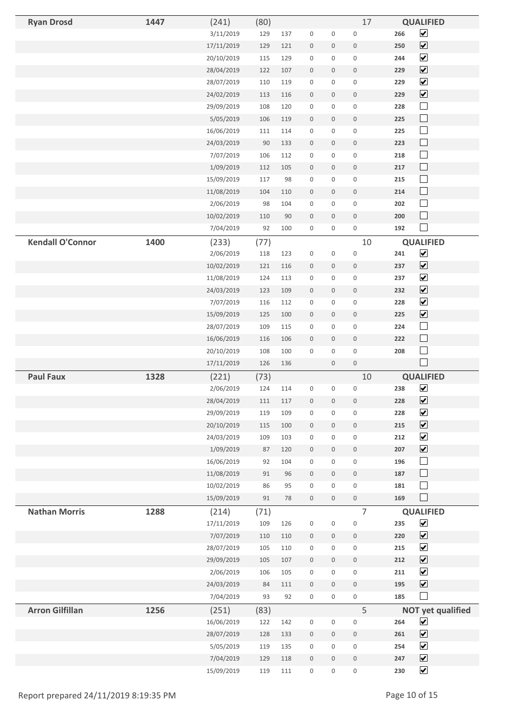| <b>Ryan Drosd</b>       | 1447 | (241)                    | (80)     |          |                                 |                          | 17                                 | <b>QUALIFIED</b>                    |  |
|-------------------------|------|--------------------------|----------|----------|---------------------------------|--------------------------|------------------------------------|-------------------------------------|--|
|                         |      | 3/11/2019                | 129      | 137      | $\boldsymbol{0}$                | $\mathsf{O}\xspace$      | $\mathbf 0$                        | $\boxed{\blacktriangledown}$<br>266 |  |
|                         |      | 17/11/2019               | 129      | 121      | $\boldsymbol{0}$                | 0                        | $\boldsymbol{0}$                   | $\overline{\mathbf{v}}$<br>250      |  |
|                         |      | 20/10/2019               | 115      | 129      | $\mathbf 0$                     | 0                        | $\mathbf 0$                        | $\overline{\mathbf{v}}$<br>244      |  |
|                         |      | 28/04/2019               | 122      | 107      | $\boldsymbol{0}$                | $\mathbf 0$              | $\mathbf 0$                        | $\boxed{\blacktriangledown}$<br>229 |  |
|                         |      | 28/07/2019               | 110      | 119      | $\boldsymbol{0}$                | 0                        | $\mathsf{O}\xspace$                | $\blacktriangledown$<br>229         |  |
|                         |      | 24/02/2019               | 113      | 116      | $\mathbb O$                     | 0                        | $\mathbf 0$                        | $\boxed{\blacktriangledown}$<br>229 |  |
|                         |      | 29/09/2019               | 108      | 120      | $\mathbf 0$                     | 0                        | $\mathbf 0$                        | $\Box$<br>228                       |  |
|                         |      | 5/05/2019                | 106      | 119      | $\bf 0$                         | 0                        | $\mathbf 0$                        | $\Box$<br>225                       |  |
|                         |      | 16/06/2019               | 111      | 114      | $\mathbf 0$                     | 0                        | $\mathbf 0$                        | $\Box$<br>225                       |  |
|                         |      | 24/03/2019               | 90       | 133      | $\boldsymbol{0}$                | 0                        | $\boldsymbol{0}$                   | $\Box$<br>223                       |  |
|                         |      | 7/07/2019                | 106      | 112      | $\mathbf 0$                     | 0                        | $\mathbf 0$                        | $\Box$<br>218                       |  |
|                         |      | 1/09/2019                | 112      | 105      | $\mathbf 0$                     | 0                        | $\mathbf 0$                        | $\Box$<br>217                       |  |
|                         |      | 15/09/2019               | 117      | 98       | $\mathbf 0$                     | 0                        | $\mathsf{O}\xspace$                | $\Box$<br>215                       |  |
|                         |      | 11/08/2019               | 104      | 110      | $\mathbf 0$                     | $\mathbf 0$              | $\mathbf 0$                        | $\Box$<br>214                       |  |
|                         |      | 2/06/2019                | 98       | 104      | $\mathbf 0$                     | 0                        | $\mathbf 0$                        | $\Box$<br>202                       |  |
|                         |      | 10/02/2019               | 110      | 90       | $\mathbf 0$                     | 0                        | $\mathbf 0$                        | $\Box$<br>200                       |  |
|                         |      | 7/04/2019                | 92       | 100      | $\boldsymbol{0}$                | 0                        | $\mathsf{O}\xspace$                | $\Box$<br>192                       |  |
| <b>Kendall O'Connor</b> | 1400 | (233)                    | (77)     |          |                                 |                          | 10                                 | <b>QUALIFIED</b>                    |  |
|                         |      | 2/06/2019                | 118      | 123      | $\mathbf 0$                     | $\mathsf 0$              | $\mathbf 0$                        | $\overline{\mathbf{v}}$<br>241      |  |
|                         |      | 10/02/2019               | 121      | 116      | $\boldsymbol{0}$                | 0                        | $\boldsymbol{0}$                   | $\blacktriangledown$<br>237         |  |
|                         |      | 11/08/2019               | 124      | 113      | $\mathbf 0$                     | 0                        | $\mathbf 0$                        | $\blacktriangledown$<br>237         |  |
|                         |      | 24/03/2019               | 123      | 109      | $\mathbf 0$                     | 0                        | $\mathbf 0$                        | $\blacktriangledown$<br>232         |  |
|                         |      | 7/07/2019                | 116      | 112      | $\mathbf 0$                     | 0                        | $\mathsf{O}\xspace$                | $\blacktriangledown$<br>228         |  |
|                         |      | 15/09/2019               | 125      | 100      | $\mathbf 0$                     | $\mathbf 0$              | $\mathbf 0$                        | $\boxed{\blacktriangledown}$<br>225 |  |
|                         |      | 28/07/2019               | 109      | 115      | $\mathbf 0$                     | 0                        | $\mathbf 0$                        | $\Box$<br>224                       |  |
|                         |      | 16/06/2019               | 116      | 106      | $\boldsymbol{0}$                | 0                        | $\mathbf 0$                        | $\Box$<br>222                       |  |
|                         |      | 20/10/2019               | 108      | 100      | $\mathbf 0$                     | 0                        | $\mathbf 0$                        | $\Box$<br>208                       |  |
|                         |      | 17/11/2019               | 126      | 136      |                                 | 0                        | $\mathbf 0$                        | $\Box$                              |  |
| <b>Paul Faux</b>        | 1328 | (221)                    | (73)     |          |                                 |                          | 10                                 | <b>QUALIFIED</b>                    |  |
|                         |      | 2/06/2019                | 124      | 114      | $\mathbf 0$                     | 0                        | $\mathbf 0$                        | $\overline{\mathbf{v}}$<br>238      |  |
|                         |      | 28/04/2019               | 111      | $117\,$  | $\mathsf{O}\xspace$             | 0                        | $\mathsf{O}\xspace$                | $\boxed{\blacktriangledown}$<br>228 |  |
|                         |      | 29/09/2019               | 119      | 109      | $\mathbf 0$                     | 0                        | $\mathbf 0$                        | $\blacktriangledown$<br>228         |  |
|                         |      | 20/10/2019               | 115      | 100      | $\mathsf{O}\xspace$             | $\mathsf{O}\xspace$      | $\mathbf 0$                        | $\boxed{\blacktriangledown}$<br>215 |  |
|                         |      | 24/03/2019               | 109      | 103      | $\mathbb O$                     | 0                        | $\mathsf{O}\xspace$                | $\blacktriangledown$<br>212         |  |
|                         |      | 1/09/2019                | 87       | 120      | $\mathbf 0$                     | $\boldsymbol{0}$         | $\mathsf{O}\xspace$                | $\blacktriangledown$<br>207         |  |
|                         |      | 16/06/2019               | 92       | 104      | $\mathbf 0$                     | $\mathbf 0$              | $\mathbf 0$                        | $\Box$<br>196<br>$\Box$             |  |
|                         |      | 11/08/2019               | 91<br>86 | 96<br>95 | $\mathbf 0$<br>$\mathbf 0$      | $\mathsf{O}\xspace$<br>0 | $\mathbf 0$<br>$\mathsf{O}\xspace$ | 187<br>$\Box$<br>181                |  |
|                         |      | 10/02/2019<br>15/09/2019 | 91       | 78       | $\mathbf 0$                     | $\mathsf{O}$             | $\mathsf{O}\xspace$                | $\Box$<br>169                       |  |
| <b>Nathan Morris</b>    | 1288 |                          | (71)     |          |                                 |                          | $\overline{7}$                     | <b>QUALIFIED</b>                    |  |
|                         |      | (214)<br>17/11/2019      | 109      | 126      | $\mathbf 0$                     | $\mathsf 0$              | $\mathbf 0$                        | $\blacktriangledown$<br>235         |  |
|                         |      | 7/07/2019                | 110      | 110      |                                 | $\mathbf 0$              | $\mathbf 0$                        | $\blacktriangledown$<br>220         |  |
|                         |      | 28/07/2019               | 105      | 110      | $\boldsymbol{0}$<br>$\mathbf 0$ | $\mathbf 0$              | $\mathsf{O}\xspace$                | $\blacktriangledown$<br>215         |  |
|                         |      | 29/09/2019               | 105      | 107      | $\mathbb O$                     | $\mathbf 0$              | $\mathsf{O}\xspace$                | $\blacktriangledown$<br>212         |  |
|                         |      | 2/06/2019                | 106      | 105      | $\mathbf 0$                     | 0                        | $\mathbf 0$                        | $\blacktriangledown$<br>211         |  |
|                         |      | 24/03/2019               | 84       | 111      | $\mathbf 0$                     | $\mathsf{O}\xspace$      | $\mathsf{O}\xspace$                | $\overline{\mathbf{v}}$<br>195      |  |
|                         |      | 7/04/2019                | 93       | 92       | $\mathsf{O}\xspace$             | 0                        | $\mathsf{O}\xspace$                | $\Box$<br>185                       |  |
| <b>Arron Gilfillan</b>  | 1256 | (251)                    | (83)     |          |                                 |                          | 5                                  | <b>NOT yet qualified</b>            |  |
|                         |      | 16/06/2019               | 122      | 142      | $\mathbf 0$                     | $\mathsf{O}\xspace$      | $\mathbf 0$                        | $\blacktriangledown$<br>264         |  |
|                         |      | 28/07/2019               | 128      | 133      | $\mathbb O$                     | $\mathbf 0$              | $\mathsf{O}$                       | $\overline{\mathbf{v}}$<br>261      |  |
|                         |      | 5/05/2019                | 119      | 135      | $\mathbf 0$                     | $\mathbf 0$              | $\mathbf 0$                        | $\blacktriangledown$<br>254         |  |
|                         |      | 7/04/2019                | 129      | 118      | $\mathbf 0$                     | $\mathbf 0$              | $\mathbf 0$                        | $\overline{\mathbf{v}}$<br>247      |  |
|                         |      | 15/09/2019               | 119      | 111      | $\mathbf 0$                     | 0                        | $\mathsf{O}\xspace$                | $\blacktriangledown$<br>230         |  |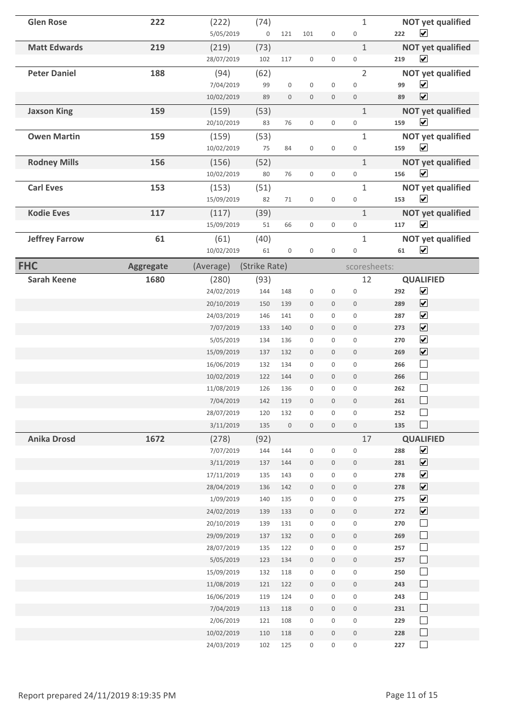| <b>Glen Rose</b>      | 222              | (222)<br>5/05/2019      | (74)<br>$\mathsf{O}\xspace$ | 121                 | 101                                        | $\mathsf{O}\xspace$                | $1\,$<br>$\boldsymbol{0}$          | <b>NOT yet qualified</b><br>$\overline{\mathbf{v}}$<br>222 |
|-----------------------|------------------|-------------------------|-----------------------------|---------------------|--------------------------------------------|------------------------------------|------------------------------------|------------------------------------------------------------|
| <b>Matt Edwards</b>   | 219              | (219)                   | (73)                        |                     |                                            |                                    | $\mathbf{1}$                       | <b>NOT yet qualified</b>                                   |
|                       |                  | 28/07/2019              | 102                         | 117                 | $\mathbf 0$                                | $\mathbf 0$                        | $\boldsymbol{0}$                   | $\blacktriangledown$<br>219                                |
| <b>Peter Daniel</b>   | 188              | (94)<br>7/04/2019       | (62)<br>99                  | $\boldsymbol{0}$    | $\mathbf 0$                                | $\mathbf 0$                        | $\overline{2}$<br>$\mathbf 0$      | <b>NOT yet qualified</b><br>$\blacktriangledown$<br>99     |
|                       |                  | 10/02/2019              | 89                          | $\boldsymbol{0}$    | $\boldsymbol{0}$                           | $\mathbf 0$                        | $\mathbf 0$                        | $\blacktriangledown$<br>89                                 |
| <b>Jaxson King</b>    | 159              | (159)                   | (53)                        |                     |                                            |                                    | $\mathbf{1}$                       | <b>NOT yet qualified</b>                                   |
|                       |                  | 20/10/2019              | 83                          | 76                  | $\mathsf{O}\xspace$                        | $\mathsf{O}\xspace$                | $\mathbf 0$                        | $\overline{\mathbf{v}}$<br>159                             |
| <b>Owen Martin</b>    | 159              | (159)                   | (53)                        |                     |                                            |                                    | $\mathbf{1}$                       | <b>NOT yet qualified</b>                                   |
|                       |                  | 10/02/2019              | 75                          | 84                  | $\mathbf 0$                                | $\mathbf 0$                        | $\mathbf 0$                        | $\blacktriangledown$<br>159                                |
| <b>Rodney Mills</b>   | 156              | (156)                   | (52)                        |                     |                                            |                                    | $\mathbf{1}$                       | <b>NOT yet qualified</b>                                   |
|                       |                  | 10/02/2019              | 80                          | 76                  | $\mathsf{O}\xspace$                        | $\mathsf{O}\xspace$                | $\mathbf 0$                        | $\overline{\mathbf{v}}$<br>156                             |
| <b>Carl Eves</b>      | 153              | (153)                   | (51)                        |                     |                                            |                                    | $\mathbf{1}$                       | <b>NOT yet qualified</b>                                   |
|                       |                  | 15/09/2019              | 82                          | 71                  | $\mathbf 0$                                | $\mathbf 0$                        | $\mathbf 0$                        | $\blacktriangledown$<br>153                                |
| <b>Kodie Eves</b>     | 117              | (117)                   | (39)                        |                     |                                            |                                    | $\mathbf{1}$                       | <b>NOT yet qualified</b>                                   |
|                       |                  | 15/09/2019              | 51                          | 66                  | $\mathsf 0$                                | 0                                  | $\mathbf 0$                        | $\overline{\mathbf{v}}$<br>117                             |
| <b>Jeffrey Farrow</b> | 61               | (61)                    | (40)                        |                     |                                            |                                    | $\mathbf{1}$                       | <b>NOT yet qualified</b>                                   |
|                       |                  | 10/02/2019              | 61                          | $\mathsf 0$         | $\mathsf 0$                                | $\boldsymbol{0}$                   | $\mathbf 0$                        | $\blacktriangledown$<br>61                                 |
| <b>FHC</b>            | <b>Aggregate</b> | (Average)               | (Strike Rate)               |                     |                                            |                                    | scoresheets:                       |                                                            |
| <b>Sarah Keene</b>    | 1680             | (280)                   | (93)                        |                     |                                            |                                    | 12                                 | <b>QUALIFIED</b>                                           |
|                       |                  | 24/02/2019              | 144                         | 148                 | $\mathbf 0$                                | $\boldsymbol{0}$                   | $\mathbf 0$                        | $\blacktriangledown$<br>292                                |
|                       |                  | 20/10/2019              | 150                         | 139                 | $\mathbf 0$                                | $\mathbf 0$                        | $\mathbf 0$                        | $\blacktriangledown$<br>289                                |
|                       |                  | 24/03/2019              | 146                         | 141                 | 0                                          | $\mathbf 0$                        | $\mathbf 0$                        | $\blacktriangledown$<br>287                                |
|                       |                  | 7/07/2019               | 133                         | 140                 | $\mathsf{O}\xspace$                        | $\mathbf 0$                        | $\mathbf 0$                        | $\blacktriangledown$<br>273                                |
|                       |                  | 5/05/2019               | 134                         | 136                 | $\mathbf 0$                                | $\boldsymbol{0}$                   | $\mathbf 0$                        | $\blacktriangledown$<br>270                                |
|                       |                  | 15/09/2019              | 137                         | 132                 | $\mathbf 0$                                | $\mathbf 0$                        | $\mathsf{O}\xspace$                | $\blacktriangledown$<br>269                                |
|                       |                  | 16/06/2019              | 132                         | 134                 | $\mathbf 0$                                | $\mathsf{O}\xspace$                | $\mathsf{O}\xspace$                | $\Box$<br>266                                              |
|                       |                  | 10/02/2019              | 122                         | 144                 | $\mathbf 0$                                | $\mathbf 0$                        | $\mathbf 0$                        | $\Box$<br>266                                              |
|                       |                  | 11/08/2019              | 126                         | 136                 | $\boldsymbol{0}$                           | $\boldsymbol{0}$                   | $\boldsymbol{0}$                   | $\Box$<br>262                                              |
|                       |                  | 7/04/2019               | 142                         | 119                 | $\mathbf 0$                                | $\mathsf{O}\xspace$                | $\mathbf 0$                        | 261                                                        |
|                       |                  | 28/07/2019              | 120                         | 132                 | $\mathsf{O}\xspace$                        | 0                                  | $\mathsf{O}\xspace$                | $\Box$<br>252                                              |
|                       |                  | 3/11/2019               | 135                         | $\mathsf{O}\xspace$ | $\mathsf{O}\xspace$                        | $\mathsf{O}\xspace$                | $\mathsf{O}\xspace$                | $\Box$<br>135                                              |
| <b>Anika Drosd</b>    | 1672             | (278)                   | (92)                        |                     |                                            |                                    | 17                                 | <b>QUALIFIED</b>                                           |
|                       |                  | 7/07/2019               | 144                         | 144                 | $\mathsf{O}\xspace$                        | $\mathsf{O}\xspace$                | $\mathbf 0$                        | $\blacktriangledown$<br>288<br>$\blacktriangledown$        |
|                       |                  | 3/11/2019<br>17/11/2019 | 137<br>135                  | 144<br>143          | $\mathsf{O}\xspace$<br>$\mathsf{O}\xspace$ | $\mathsf{O}\xspace$<br>$\mathbf 0$ | $\mathbf 0$<br>$\mathsf{O}\xspace$ | 281<br>$\blacktriangledown$<br>278                         |
|                       |                  | 28/04/2019              | 136                         | 142                 | $\mathsf{O}\xspace$                        | $\mathsf{O}\xspace$                | $\mathsf{O}\xspace$                | $\blacktriangledown$<br>278                                |
|                       |                  | 1/09/2019               | 140                         | 135                 | $\mathsf{O}\xspace$                        | $\mathbf 0$                        | $\mathbf 0$                        | $\blacktriangledown$<br>275                                |
|                       |                  | 24/02/2019              | 139                         | 133                 | $\boldsymbol{0}$                           | $\mathbf 0$                        | $\boldsymbol{0}$                   | $\blacktriangledown$<br>272                                |
|                       |                  | 20/10/2019              | 139                         | 131                 | $\mathsf 0$                                | $\mathsf{O}\xspace$                | $\mathbf 0$                        | $\Box$<br>270                                              |
|                       |                  | 29/09/2019              | 137                         | 132                 | $\boldsymbol{0}$                           | $\mathbf 0$                        | $\boldsymbol{0}$                   | $\Box$<br>269                                              |
|                       |                  | 28/07/2019              | 135                         | 122                 | $\mathsf{O}\xspace$                        | $\mathbf 0$                        | $\mathsf{O}\xspace$                | $\Box$<br>257                                              |
|                       |                  | 5/05/2019               | 123                         | 134                 | $\mathsf{O}\xspace$                        | $\mathbf 0$                        | $\mathbb O$                        | $\Box$<br>257                                              |
|                       |                  | 15/09/2019              | 132                         | 118                 | $\mathsf{O}\xspace$                        | $\mathsf{O}\xspace$                | $\mathsf{O}\xspace$                | $\Box$<br>250                                              |
|                       |                  | 11/08/2019              | 121                         | 122                 | $\mathsf{O}\xspace$                        | $\mathbf 0$                        | $\mathsf{O}\xspace$                | $\Box$<br>243                                              |
|                       |                  | 16/06/2019              | 119                         | 124                 | $\mathbf 0$                                | $\mathsf{O}\xspace$                | $\mathbf 0$                        | $\Box$<br>243                                              |
|                       |                  | 7/04/2019               | 113                         | 118                 | $\boldsymbol{0}$                           | $\mathbf 0$                        | $\boldsymbol{0}$                   | $\Box$<br>231                                              |
|                       |                  | 2/06/2019               | 121                         | 108                 | $\mathsf{O}\xspace$                        | $\mathsf{O}\xspace$                | $\mathsf{O}\xspace$                | $\Box$<br>229                                              |
|                       |                  | 10/02/2019              | 110                         | 118                 | $\mathsf 0$                                | $\mathbf 0$                        | $\mathsf{O}\xspace$                | $\Box$<br>228                                              |
|                       |                  | 24/03/2019              | 102                         | 125                 | $\mathsf 0$                                | $\mathsf{O}\xspace$                | $\mathsf 0$                        | $\Box$<br>227                                              |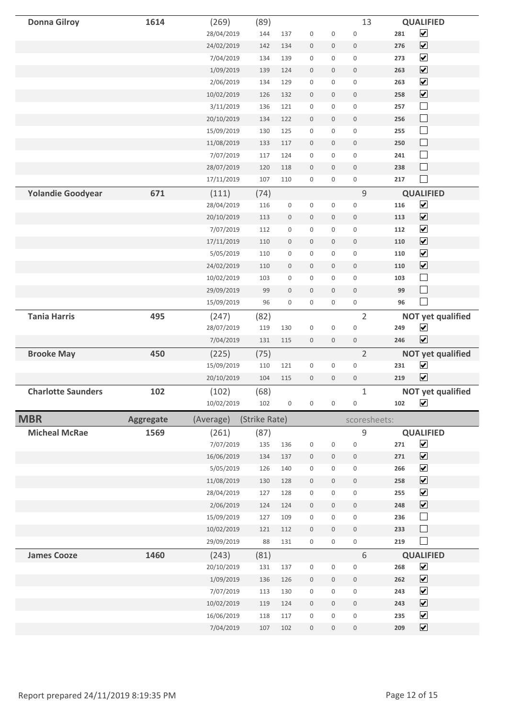| <b>Donna Gilroy</b>       | 1614      | (269)                   | (89)          |                     |                                    |                                            | 13                         |            | <b>QUALIFIED</b>                             |
|---------------------------|-----------|-------------------------|---------------|---------------------|------------------------------------|--------------------------------------------|----------------------------|------------|----------------------------------------------|
|                           |           | 28/04/2019              | 144           | 137                 | $\boldsymbol{0}$                   | $\mathsf 0$                                | $\mathsf 0$                | 281        | $\blacktriangledown$                         |
|                           |           | 24/02/2019              | 142           | 134                 | $\boldsymbol{0}$                   | $\mathsf{O}\xspace$                        | $\boldsymbol{0}$           | 276        | $\blacktriangledown$                         |
|                           |           | 7/04/2019               | 134           | 139                 | $\boldsymbol{0}$                   | 0                                          | $\boldsymbol{0}$           | 273        | $\blacktriangledown$                         |
|                           |           | 1/09/2019               | 139           | 124                 | $\boldsymbol{0}$                   | $\mathbf 0$                                | $\mathbf 0$                | 263        | $\blacktriangledown$                         |
|                           |           | 2/06/2019               | 134           | 129                 | $\mathsf{O}\xspace$                | 0                                          | $\boldsymbol{0}$           | 263        | $\blacktriangledown$                         |
|                           |           | 10/02/2019              | 126           | 132                 | $\boldsymbol{0}$                   | $\mathsf{O}\xspace$                        | $\mathbf 0$                | 258        | $\blacktriangledown$                         |
|                           |           | 3/11/2019               | 136           | 121                 | $\mathsf 0$                        | $\mathsf 0$                                | $\mathbf 0$                | 257        | $\Box$                                       |
|                           |           | 20/10/2019              | 134           | 122                 | $\boldsymbol{0}$                   | $\boldsymbol{0}$                           | $\boldsymbol{0}$           | 256        | $\Box$                                       |
|                           |           | 15/09/2019              | 130           | 125                 | $\mathbf 0$                        | $\mathsf{O}\xspace$                        | $\mathbf 0$                | 255        | $\Box$                                       |
|                           |           | 11/08/2019              | 133           | 117                 | $\boldsymbol{0}$                   | $\boldsymbol{0}$                           | $\boldsymbol{0}$           | 250        | $\Box$                                       |
|                           |           | 7/07/2019               | 117           | 124                 | $\mathbf 0$                        | $\mathsf{O}\xspace$                        | $\mathbf 0$                | 241        | $\Box$                                       |
|                           |           | 28/07/2019              | 120           | 118                 | $\boldsymbol{0}$                   | $\mathsf{O}\xspace$                        | $\mathbf 0$                | 238        | $\Box$                                       |
|                           |           | 17/11/2019              | 107           | 110                 | $\mathsf{O}\xspace$                | $\mathsf{O}\xspace$                        | $\mathsf 0$                | 217        | $\Box$                                       |
| <b>Yolandie Goodyear</b>  | 671       | (111)                   | (74)          |                     |                                    |                                            | 9                          |            | <b>QUALIFIED</b>                             |
|                           |           | 28/04/2019              | 116           | 0                   | $\mathsf{O}\xspace$                | $\mathsf{O}\xspace$                        | $\mathsf 0$                | 116        | $\overline{\mathbf{v}}$                      |
|                           |           | 20/10/2019              | 113           | $\mathsf{O}\xspace$ | $\boldsymbol{0}$                   | $\mathsf{O}\xspace$                        | $\mathbf 0$                | 113        | $\blacktriangleright$                        |
|                           |           | 7/07/2019               | 112           | $\mathsf{O}\xspace$ | $\mathsf 0$                        | $\mathsf 0$                                | $\mathbf 0$                | 112        | $\blacktriangledown$                         |
|                           |           | 17/11/2019              | 110           | $\boldsymbol{0}$    | $\boldsymbol{0}$                   | $\mathsf{O}\xspace$                        | $\boldsymbol{0}$           | 110        | $\blacktriangledown$                         |
|                           |           | 5/05/2019               | 110           | 0                   | $\mathsf 0$                        | $\mathsf{O}\xspace$                        | $\boldsymbol{0}$           | 110        | $\blacktriangledown$                         |
|                           |           | 24/02/2019              | 110           | 0                   | $\boldsymbol{0}$                   | $\boldsymbol{0}$                           | $\boldsymbol{0}$           | 110        | $\blacktriangledown$                         |
|                           |           | 10/02/2019              | 103           | $\mathsf{O}\xspace$ | $\mathsf 0$                        | 0                                          | $\mathbf 0$                | 103        | $\Box$                                       |
|                           |           | 29/09/2019              | 99            | $\mathsf{O}\xspace$ | $\boldsymbol{0}$                   | $\mathsf{O}\xspace$                        | $\mathbf 0$                | 99         | $\Box$                                       |
|                           |           | 15/09/2019              | 96            | $\mathsf{O}\xspace$ | $\mathsf{O}\xspace$                | $\mathsf{O}\xspace$                        | $\mathsf 0$                | 96         | $\Box$                                       |
| <b>Tania Harris</b>       | 495       | (247)                   | (82)          |                     |                                    |                                            | $\overline{2}$             |            | <b>NOT yet qualified</b>                     |
|                           |           | 28/07/2019              | 119           | 130                 | $\mathsf 0$                        | $\mathsf{O}\xspace$                        | $\mathsf 0$                | 249        | $\blacktriangledown$                         |
|                           |           | 7/04/2019               | 131           | 115                 | $\mathsf{O}\xspace$                | $\mathsf{O}\xspace$                        | $\mathbf 0$                | 246        | $\overline{\mathbf{v}}$                      |
| <b>Brooke May</b>         | 450       | (225)                   | (75)          |                     |                                    |                                            | $\overline{2}$             |            | <b>NOT yet qualified</b>                     |
|                           |           | 15/09/2019              | 110           | 121                 | $\mathbf 0$                        | $\mathsf 0$                                | $\mathbf 0$                | 231        | $\blacktriangledown$                         |
|                           |           | 20/10/2019              | 104           | 115                 | $\mathbf 0$                        | $\mathsf{O}\xspace$                        | $\mathbf 0$                | 219        | $\blacktriangledown$                         |
| <b>Charlotte Saunders</b> | 102       | (102)                   | (68)          |                     |                                    |                                            | $\mathbf{1}$               |            | <b>NOT yet qualified</b>                     |
|                           |           | 10/02/2019              | 102           | $\mathsf 0$         | $\mathbf 0$                        | $\mathbf 0$                                | $\mathbf 0$                | 102        | $\blacktriangledown$                         |
| <b>MBR</b>                |           |                         |               |                     |                                    |                                            |                            |            |                                              |
|                           |           |                         |               |                     |                                    |                                            |                            |            |                                              |
|                           | Aggregate | (Average)               | (Strike Rate) |                     |                                    |                                            | scoresheets:               |            |                                              |
| <b>Micheal McRae</b>      | 1569      | (261)                   | (87)          |                     |                                    |                                            | 9                          |            | <b>QUALIFIED</b>                             |
|                           |           | 7/07/2019               | 135           | 136                 | $\mathbf 0$                        | $\mathsf 0$                                | $\mathbf 0$                | 271        | $\blacktriangledown$                         |
|                           |           | 16/06/2019              | 134           | 137                 | $\mathsf 0$                        | $\boldsymbol{0}$                           | $\mathsf{O}\xspace$        | 271        | $\blacktriangledown$                         |
|                           |           | 5/05/2019               | 126           | 140                 | $\mathsf 0$                        | $\mathsf{O}\xspace$                        | $\mathsf 0$                | 266        | $\blacktriangledown$                         |
|                           |           | 11/08/2019              | 130           | 128                 | $\mathsf{O}\xspace$                | $\boldsymbol{0}$                           | $\boldsymbol{0}$           | 258        | $\blacktriangledown$                         |
|                           |           | 28/04/2019              | 127           | 128                 | $\mathbf 0$                        | $\mathsf{O}\xspace$                        | $\mathsf{O}\xspace$        | 255        | $\blacktriangledown$                         |
|                           |           | 2/06/2019               | 124           | 124                 | $\mathsf 0$                        | $\mathsf{O}\xspace$                        | $\mathbf 0$                | 248        | $\blacktriangledown$                         |
|                           |           | 15/09/2019              | 127           | 109                 | $\mathsf 0$                        | 0                                          | $\mathsf 0$                | 236        | $\Box$                                       |
|                           |           | 10/02/2019              | 121           | 112                 | $\mathsf{O}\xspace$                | $\mathsf{O}\xspace$                        | $\mathbf 0$                | 233        | $\Box$                                       |
|                           |           | 29/09/2019              | 88            | 131                 | $\mathsf 0$                        | $\mathsf 0$                                | $\mathsf 0$                | 219        | $\Box$                                       |
| <b>James Cooze</b>        | 1460      | (243)                   | (81)          |                     |                                    |                                            | 6                          |            | <b>QUALIFIED</b>                             |
|                           |           | 20/10/2019              | 131           | 137                 | $\mathsf 0$                        | $\mathsf 0$                                | $\mathbf 0$                | 268        | $\blacktriangledown$                         |
|                           |           | 1/09/2019               | 136           | 126                 | $\mathsf{O}\xspace$                | $\mathsf{O}\xspace$                        | $\mathsf{O}\xspace$        | 262        | $\blacktriangledown$                         |
|                           |           | 7/07/2019               | 113           | 130                 | $\mathsf{O}\xspace$                | $\mathsf{O}\xspace$                        | $\mathbf 0$                | 243        | $\blacktriangledown$                         |
|                           |           | 10/02/2019              | 119           | 124                 | $\mathsf{O}\xspace$                | $\boldsymbol{0}$                           | $\mathsf{O}\xspace$        | 243        | $\blacktriangledown$                         |
|                           |           | 16/06/2019<br>7/04/2019 | 118<br>107    | 117<br>102          | $\mathbf 0$<br>$\mathsf{O}\xspace$ | $\mathsf{O}\xspace$<br>$\mathsf{O}\xspace$ | $\mathbf 0$<br>$\mathbf 0$ | 235<br>209 | $\blacktriangledown$<br>$\blacktriangledown$ |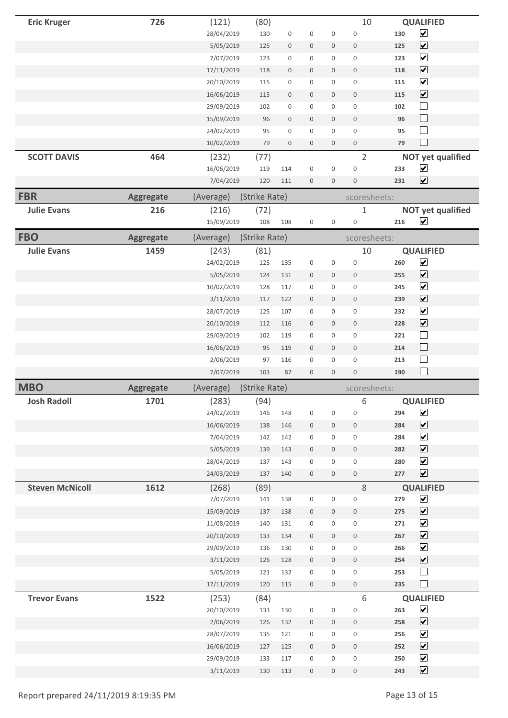| <b>Eric Kruger</b>     | 726              | (121)                    | (80)          |                     |                                 |                          | 10                             |                  | <b>QUALIFIED</b>                                |  |
|------------------------|------------------|--------------------------|---------------|---------------------|---------------------------------|--------------------------|--------------------------------|------------------|-------------------------------------------------|--|
|                        |                  | 28/04/2019               | 130           | 0                   | $\mathsf 0$                     | $\mathsf{O}\xspace$      | $\mathbf 0$                    | 130              | $\overline{\mathbf{v}}$                         |  |
|                        |                  | 5/05/2019                | 125           | 0                   | $\boldsymbol{0}$                | 0                        | $\boldsymbol{0}$               | 125              | $\boxed{\blacktriangledown}$                    |  |
|                        |                  | 7/07/2019                | 123           | 0                   | $\mathsf 0$                     | 0                        | $\mathsf 0$                    | 123              | $\overline{\mathbf{v}}$                         |  |
|                        |                  | 17/11/2019               | 118           | $\mathsf{O}$        | $\mathbf 0$                     | 0                        | $\boldsymbol{0}$               | 118              | $\boxed{\blacktriangledown}$                    |  |
|                        |                  | 20/10/2019               | 115           | 0                   | 0                               | 0                        | 0                              | 115              | $\overline{\mathbf{v}}$                         |  |
|                        |                  | 16/06/2019               | 115           | $\mathsf{O}\xspace$ | $\boldsymbol{0}$                | $\mathbf 0$              | $\boldsymbol{0}$               | 115              | $\boxed{\blacktriangledown}$                    |  |
|                        |                  | 29/09/2019               | 102           | 0                   | $\mathsf 0$                     | 0                        | $\mathsf 0$                    | 102              | $\Box$                                          |  |
|                        |                  | 15/09/2019               | 96            | $\mathsf{O}\xspace$ | $\boldsymbol{0}$                | $\mathsf{O}\xspace$      | $\boldsymbol{0}$               | 96               | $\Box$                                          |  |
|                        |                  | 24/02/2019               | 95            | 0                   | $\mathsf 0$                     | 0                        | $\mathsf 0$                    | 95               | $\Box$                                          |  |
|                        |                  | 10/02/2019               | 79            | $\mathsf{O}\xspace$ | $\boldsymbol{0}$                | 0                        | $\mathsf{O}\xspace$            | 79               | $\Box$                                          |  |
| <b>SCOTT DAVIS</b>     | 464              | (232)                    | (77)          |                     |                                 |                          | $\overline{2}$                 |                  | <b>NOT yet qualified</b>                        |  |
|                        |                  | 16/06/2019               | 119           | 114                 | $\mathsf{O}\xspace$             | $\mathsf 0$              | $\mathsf 0$                    | 233              | $\overline{\mathbf{v}}$                         |  |
|                        |                  | 7/04/2019                | 120           | 111                 | $\mathbf 0$                     | $\mathsf{O}\xspace$      | $\boldsymbol{0}$               | 231              | $\boxed{\blacktriangledown}$                    |  |
| <b>FBR</b>             | <b>Aggregate</b> | (Average)                | (Strike Rate) |                     |                                 |                          | scoresheets:                   |                  |                                                 |  |
| <b>Julie Evans</b>     | 216              | (216)                    | (72)          |                     |                                 |                          | $\mathbf 1$                    |                  | <b>NOT yet qualified</b>                        |  |
|                        |                  | 15/09/2019               | 108           | 108                 | $\mathbf 0$                     | $\mathsf 0$              | $\mathsf{O}\xspace$            | 216              | $\blacktriangledown$                            |  |
| <b>FBO</b>             | <b>Aggregate</b> | (Average)                | (Strike Rate) |                     |                                 |                          | scoresheets:                   |                  |                                                 |  |
| <b>Julie Evans</b>     | 1459             | (243)                    | (81)          |                     |                                 |                          | 10                             | <b>QUALIFIED</b> |                                                 |  |
|                        |                  | 24/02/2019               | 125           | 135                 | $\boldsymbol{0}$                | $\mathsf{O}\xspace$      | $\mathbf 0$                    | 260              | $\blacktriangledown$                            |  |
|                        |                  | 5/05/2019                | 124           | 131                 | $\boldsymbol{0}$                | 0                        | $\boldsymbol{0}$               | 255              | $\blacktriangledown$                            |  |
|                        |                  | 10/02/2019               | 128           | 117                 | $\mathsf{O}\xspace$             | 0                        | $\mathsf{O}\xspace$            | 245              | $\overline{\mathbf{v}}$                         |  |
|                        |                  | 3/11/2019                | 117           | 122                 | $\mathbf 0$                     | $\mathbf 0$              | $\boldsymbol{0}$               | 239              | $\boxed{\blacktriangledown}$                    |  |
|                        |                  | 28/07/2019               | 125           | 107                 | $\mathsf 0$                     | 0                        | $\mathsf 0$                    | 232              | $\overline{\mathbf{v}}$                         |  |
|                        |                  | 20/10/2019               | 112           | 116                 | $\boldsymbol{0}$                | $\boldsymbol{0}$         | $\boldsymbol{0}$               | 228              | $\boxed{\blacktriangledown}$                    |  |
|                        |                  | 29/09/2019               | 102           | 119                 | $\mathsf 0$                     | 0                        | $\mathbf 0$                    | 221              | $\Box$                                          |  |
|                        |                  |                          |               |                     |                                 |                          |                                |                  |                                                 |  |
|                        |                  |                          | 95            | 119                 | $\boldsymbol{0}$                | 0                        | $\boldsymbol{0}$               | 214              |                                                 |  |
|                        |                  | 16/06/2019               | 97            | 116                 | $\boldsymbol{0}$                | $\mathsf{O}\xspace$      | $\mathsf{O}\xspace$            | 213              | $\Box$                                          |  |
|                        |                  | 2/06/2019<br>7/07/2019   | 103           | 87                  | $\boldsymbol{0}$                | 0                        | $\boldsymbol{0}$               | 190              | $\Box$<br>$\Box$                                |  |
|                        |                  |                          |               |                     |                                 |                          |                                |                  |                                                 |  |
| <b>MBO</b>             | <b>Aggregate</b> | (Average)                | (Strike Rate) |                     |                                 |                          | scoresheets:                   |                  |                                                 |  |
| <b>Josh Radoll</b>     | 1701             | (283)                    | (94)          |                     |                                 |                          | 6                              |                  | <b>QUALIFIED</b>                                |  |
|                        |                  | 24/02/2019               | 146           | 148                 | $\mathsf 0$                     | $\mathsf 0$              | $\boldsymbol{0}$               | 294              | $\blacktriangledown$                            |  |
|                        |                  | 16/06/2019               | 138           | 146                 | $\boldsymbol{0}$                | 0                        | $\mathsf{O}\xspace$            | 284              | $\boxed{\blacktriangledown}$                    |  |
|                        |                  | 7/04/2019                | 142           | 142                 | $\mathsf 0$                     | 0                        | 0                              | 284              | $\blacktriangledown$                            |  |
|                        |                  | 5/05/2019                | 139           | 143                 | $\mathbf 0$                     | $\mathsf{O}\xspace$      | $\boldsymbol{0}$               | 282              | $\boxed{\blacktriangledown}$                    |  |
|                        |                  | 28/04/2019<br>24/03/2019 | 137<br>137    | 143<br>140          | $\boldsymbol{0}$<br>$\mathbb O$ | 0<br>$\mathsf{O}\xspace$ | $\mathsf{O}\xspace$<br>$\,0\,$ | 280<br>277       | $\blacktriangledown$                            |  |
|                        |                  |                          |               |                     |                                 |                          |                                |                  | $\blacktriangledown$                            |  |
| <b>Steven McNicoll</b> | 1612             | (268)                    | (89)<br>141   |                     | $\mathbf 0$                     | $\mathsf{O}\xspace$      | $\,8\,$<br>$\boldsymbol{0}$    | 279              | <b>QUALIFIED</b>                                |  |
|                        |                  | 7/07/2019                | 137           | 138<br>138          | $\boldsymbol{0}$                | 0                        | $\boldsymbol{0}$               | 275              | $\blacktriangledown$                            |  |
|                        |                  | 15/09/2019<br>11/08/2019 | 140           | 131                 | $\mathsf{O}\xspace$             | 0                        | $\mathsf{O}\xspace$            | 271              | $\overline{\mathbf{v}}$<br>$\blacktriangledown$ |  |
|                        |                  | 20/10/2019               | 133           | 134                 | $\boldsymbol{0}$                | 0                        | $\mathsf{O}\xspace$            | 267              | $\blacktriangledown$                            |  |
|                        |                  | 29/09/2019               | 136           | 130                 | $\mathsf{O}\xspace$             | 0                        | $\mathsf{O}\xspace$            | 266              | $\overline{\mathbf{v}}$                         |  |
|                        |                  | 3/11/2019                | 126           | 128                 | $\mathsf{O}\xspace$             | $\mathsf{O}\xspace$      | $\mathbb O$                    | 254              | $\blacktriangledown$                            |  |
|                        |                  | 5/05/2019                | 121           | 132                 | $\boldsymbol{0}$                | 0                        | $\mathbf 0$                    | 253              | $\Box$                                          |  |
|                        |                  | 17/11/2019               | 120           | 115                 | $\mathsf{O}\xspace$             | $\mathsf{O}\xspace$      | $\mathbb O$                    | 235              | $\Box$                                          |  |
| <b>Trevor Evans</b>    | 1522             | (253)                    | (84)          |                     |                                 |                          | $\,6\,$                        |                  | <b>QUALIFIED</b>                                |  |
|                        |                  | 20/10/2019               | 133           | 130                 | $\mathsf{O}\xspace$             | $\mathsf{O}\xspace$      | $\mathsf 0$                    | 263              | $\blacktriangledown$                            |  |
|                        |                  | 2/06/2019                | 126           | 132                 | $\mathbb O$                     | 0                        | $\mathsf{O}\xspace$            | 258              | $\blacktriangledown$                            |  |
|                        |                  | 28/07/2019               | 135           | 121                 | $\mathsf{O}\xspace$             | 0                        | $\mathsf 0$                    | 256              | $\blacktriangledown$                            |  |
|                        |                  | 16/06/2019               | 127           | 125                 | $\boldsymbol{0}$                | $\mathsf{O}\xspace$      | $\mathsf{O}\xspace$            | 252              | $\blacktriangledown$                            |  |
|                        |                  | 29/09/2019               | 133           | 117                 | $\mathsf 0$                     | $\mathsf{O}\xspace$      | $\mathbf 0$                    | 250              | $\blacktriangledown$                            |  |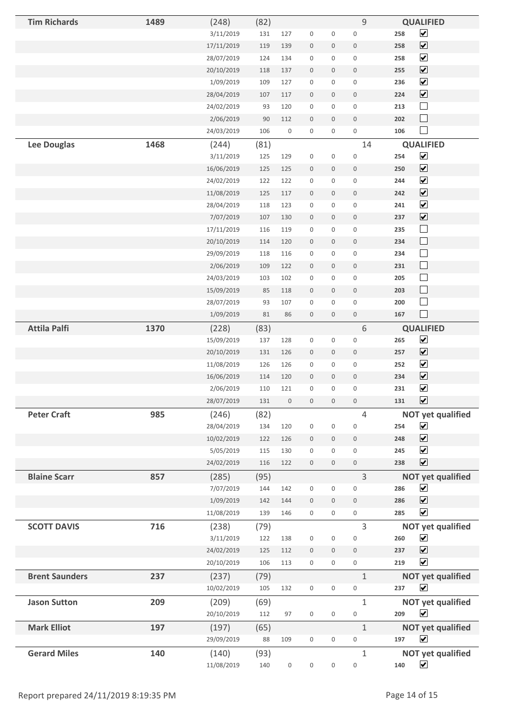| <b>Tim Richards</b>   | 1489 | (248)      | (82)   |                     |                     |                     | 9                   | <b>QUALIFIED</b>               |  |
|-----------------------|------|------------|--------|---------------------|---------------------|---------------------|---------------------|--------------------------------|--|
|                       |      | 3/11/2019  | 131    | 127                 | $\mathsf 0$         | $\mathsf 0$         | $\boldsymbol{0}$    | $\blacktriangledown$<br>258    |  |
|                       |      | 17/11/2019 | 119    | 139                 | $\boldsymbol{0}$    | $\boldsymbol{0}$    | $\mathsf{O}\xspace$ | $\blacktriangledown$<br>258    |  |
|                       |      | 28/07/2019 | 124    | 134                 | $\boldsymbol{0}$    | $\mathsf{O}\xspace$ | $\boldsymbol{0}$    | $\blacktriangledown$<br>258    |  |
|                       |      | 20/10/2019 | 118    | 137                 | $\mathsf{O}\xspace$ | $\mathbf 0$         | $\mathsf{O}\xspace$ | $\blacktriangledown$<br>255    |  |
|                       |      | 1/09/2019  | 109    | 127                 | $\mathsf{O}\xspace$ | 0                   | $\boldsymbol{0}$    | $\blacktriangledown$<br>236    |  |
|                       |      | 28/04/2019 | 107    | 117                 | $\mathsf{O}\xspace$ | $\mathsf{O}\xspace$ | $\mathbf 0$         | $\blacktriangledown$<br>224    |  |
|                       |      | 24/02/2019 | 93     | 120                 | $\boldsymbol{0}$    | $\mathsf{O}\xspace$ | $\mathbf 0$         | $\Box$<br>213                  |  |
|                       |      | 2/06/2019  | $90\,$ | 112                 | $\boldsymbol{0}$    | $\boldsymbol{0}$    | $\boldsymbol{0}$    | $\Box$<br>202                  |  |
|                       |      | 24/03/2019 | 106    | $\mathsf 0$         | $\mathsf 0$         | $\mathsf{O}\xspace$ | $\mathbf 0$         | $\Box$<br>106                  |  |
| <b>Lee Douglas</b>    | 1468 | (244)      | (81)   |                     |                     |                     | 14                  | <b>QUALIFIED</b>               |  |
|                       |      | 3/11/2019  | 125    | 129                 | $\mathsf 0$         | $\mathsf{O}\xspace$ | $\mathsf 0$         | $\blacktriangledown$<br>254    |  |
|                       |      | 16/06/2019 | 125    | 125                 | $\boldsymbol{0}$    | $\boldsymbol{0}$    | $\mathsf{O}\xspace$ | $\blacktriangledown$<br>250    |  |
|                       |      | 24/02/2019 | 122    | 122                 | $\mathbf 0$         | $\mathsf{O}\xspace$ | $\mathbf 0$         | $\blacktriangledown$<br>244    |  |
|                       |      | 11/08/2019 | 125    | 117                 | $\boldsymbol{0}$    | $\mathbf 0$         | $\boldsymbol{0}$    | $\blacktriangledown$<br>242    |  |
|                       |      | 28/04/2019 | 118    | 123                 | $\mathsf{O}\xspace$ | $\mathsf{O}\xspace$ | $\mathbf 0$         | $\blacktriangledown$<br>241    |  |
|                       |      | 7/07/2019  | 107    | 130                 | $\mathsf{O}\xspace$ | $\mathsf{O}\xspace$ | $\mathbf 0$         | $\blacktriangledown$<br>237    |  |
|                       |      | 17/11/2019 | 116    | 119                 | $\mathsf 0$         | $\mathsf 0$         | $\mathsf 0$         | $\Box$<br>235                  |  |
|                       |      | 20/10/2019 | 114    | 120                 | $\boldsymbol{0}$    | $\boldsymbol{0}$    | $\boldsymbol{0}$    | $\Box$<br>234                  |  |
|                       |      | 29/09/2019 | 118    | 116                 | $\mathsf 0$         | $\mathsf 0$         | $\boldsymbol{0}$    | $\Box$<br>234                  |  |
|                       |      | 2/06/2019  | 109    | 122                 | $\boldsymbol{0}$    | $\boldsymbol{0}$    | $\boldsymbol{0}$    | $\Box$<br>231                  |  |
|                       |      | 24/03/2019 | 103    | 102                 | $\mathbf 0$         | $\mathsf{O}\xspace$ | $\mathbf 0$         | $\Box$<br>205                  |  |
|                       |      | 15/09/2019 | 85     | 118                 | $\boldsymbol{0}$    | $\boldsymbol{0}$    | $\boldsymbol{0}$    | $\Box$<br>203                  |  |
|                       |      | 28/07/2019 | 93     | 107                 | $\mathsf 0$         | $\mathsf{O}\xspace$ | $\mathsf{O}\xspace$ | $\Box$<br>200                  |  |
|                       |      | 1/09/2019  | $81\,$ | 86                  | $\mathsf{O}\xspace$ | $\boldsymbol{0}$    | $\mathsf{O}\xspace$ | $\Box$<br>167                  |  |
| <b>Attila Palfi</b>   | 1370 | (228)      | (83)   |                     |                     |                     | 6                   | <b>QUALIFIED</b>               |  |
|                       |      | 15/09/2019 | 137    | 128                 | $\mathsf 0$         | $\mathsf{O}\xspace$ | $\mathbf 0$         | $\blacktriangledown$<br>265    |  |
|                       |      | 20/10/2019 | 131    | 126                 | $\mathsf{O}\xspace$ | $\mathsf{O}\xspace$ | $\mathsf{O}\xspace$ | $\overline{\mathbf{v}}$<br>257 |  |
|                       |      | 11/08/2019 | 126    | 126                 | $\mathbf 0$         | 0                   | $\mathbf 0$         | $\blacktriangledown$<br>252    |  |
|                       |      | 16/06/2019 | 114    | 120                 | $\mathsf{O}\xspace$ | $\mathsf{O}\xspace$ | $\mathbf 0$         | $\overline{\mathbf{v}}$<br>234 |  |
|                       |      | 2/06/2019  | 110    | 121                 | $\mathsf 0$         | 0                   | $\mathsf 0$         | $\blacktriangledown$<br>231    |  |
|                       |      | 28/07/2019 | 131    | $\mathsf{O}\xspace$ | $\mathbb O$         | $\mathsf{O}\xspace$ | $\mathbb O$         | $\blacktriangledown$<br>131    |  |
| <b>Peter Craft</b>    | 985  | (246)      | (82)   |                     |                     |                     | $\overline{4}$      | <b>NOT yet qualified</b>       |  |
|                       |      | 28/04/2019 | 134    | 120                 | $\mathsf 0$         | $\mathsf 0$         | $\mathbf 0$         | $\blacktriangledown$<br>254    |  |
|                       |      | 10/02/2019 | 122    | 126                 | $\boldsymbol{0}$    | $\mathbf 0$         | $\mathbf 0$         | $\blacktriangledown$<br>248    |  |
|                       |      | 5/05/2019  | 115    | 130                 | $\mathsf 0$         | $\mathsf{O}\xspace$ | $\mathsf{O}\xspace$ | $\blacktriangledown$<br>245    |  |
|                       |      | 24/02/2019 | 116    | 122                 | $\mathsf{O}\xspace$ | $\mathsf{O}\xspace$ | $\mathbf 0$         | $\blacktriangledown$<br>238    |  |
| <b>Blaine Scarr</b>   | 857  | (285)      | (95)   |                     |                     |                     | 3                   | <b>NOT yet qualified</b>       |  |
|                       |      | 7/07/2019  | 144    | 142                 | $\mathsf{O}\xspace$ | $\mathsf{O}\xspace$ | $\mathbf 0$         | $\blacktriangledown$<br>286    |  |
|                       |      | 1/09/2019  | 142    | 144                 | $\boldsymbol{0}$    | $\mathsf{O}\xspace$ | $\mathbf 0$         | $\blacktriangledown$<br>286    |  |
|                       |      | 11/08/2019 | 139    | 146                 | $\mathsf{O}\xspace$ | $\mathsf{O}\xspace$ | $\mathsf{O}\xspace$ | $\blacktriangledown$<br>285    |  |
| <b>SCOTT DAVIS</b>    | 716  | (238)      | (79)   |                     |                     |                     | 3                   | <b>NOT yet qualified</b>       |  |
|                       |      | 3/11/2019  | 122    | 138                 | $\boldsymbol{0}$    | $\boldsymbol{0}$    | $\mathbf 0$         | $\blacktriangledown$<br>260    |  |
|                       |      | 24/02/2019 | 125    | 112                 | $\mathbf 0$         | $\mathsf{O}\xspace$ | $\mathbf 0$         | $\blacktriangledown$<br>237    |  |
|                       |      | 20/10/2019 | 106    | 113                 | $\mathsf{O}\xspace$ | $\mathsf{O}\xspace$ | $\mathsf{O}\xspace$ | $\blacktriangledown$<br>219    |  |
| <b>Brent Saunders</b> | 237  | (237)      | (79)   |                     |                     |                     | $\mathbf{1}$        | <b>NOT yet qualified</b>       |  |
|                       |      | 10/02/2019 | 105    | 132                 | $\mathsf{O}\xspace$ | $\mathsf{O}\xspace$ | $\mathsf 0$         | $\blacktriangledown$<br>237    |  |
| <b>Jason Sutton</b>   | 209  | (209)      | (69)   |                     |                     |                     | $\mathbf{1}$        | <b>NOT yet qualified</b>       |  |
|                       |      | 20/10/2019 | 112    | 97                  | $\mathsf{O}\xspace$ | $\mathbf 0$         | $\mathbf 0$         | $\blacktriangledown$<br>209    |  |
| <b>Mark Elliot</b>    | 197  | (197)      | (65)   |                     |                     |                     | $\mathbf{1}$        | <b>NOT yet qualified</b>       |  |
|                       |      | 29/09/2019 | 88     | 109                 | $\mathsf{O}\xspace$ | $\mathsf{O}\xspace$ | $\mathsf 0$         | $\blacktriangledown$<br>197    |  |
| <b>Gerard Miles</b>   | 140  | (140)      | (93)   |                     |                     |                     | $\mathbf 1$         | <b>NOT yet qualified</b>       |  |
|                       |      | 11/08/2019 | 140    | 0                   | $\mathsf{O}\xspace$ | $\mathsf{O}\xspace$ | $\mathsf 0$         | $\blacktriangledown$<br>140    |  |